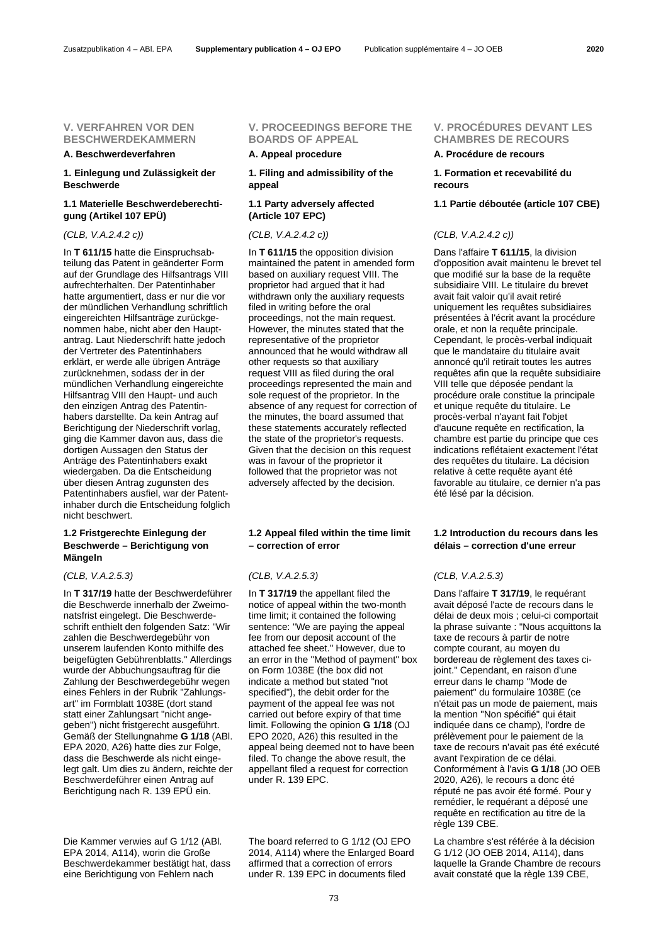### **V. VERFAHREN VOR DEN BESCHWERDEKAMMERN**

### **A. Beschwerdeverfahren A. Appeal procedure A. Procédure de recours**

### **1. Einlegung und Zulässigkeit der Beschwerde**

# **1.1 Materielle Beschwerdeberechtigung (Artikel 107 EPÜ)**

In **T 611/15** hatte die Einspruchsabteilung das Patent in geänderter Form auf der Grundlage des Hilfsantrags VIII aufrechterhalten. Der Patentinhaber hatte argumentiert, dass er nur die vor der mündlichen Verhandlung schriftlich eingereichten Hilfsanträge zurückgenommen habe, nicht aber den Hauptantrag. Laut Niederschrift hatte jedoch der Vertreter des Patentinhabers erklärt, er werde alle übrigen Anträge zurücknehmen, sodass der in der mündlichen Verhandlung eingereichte Hilfsantrag VIII den Haupt- und auch den einzigen Antrag des Patentinhabers darstellte. Da kein Antrag auf Berichtigung der Niederschrift vorlag, ging die Kammer davon aus, dass die dortigen Aussagen den Status der Anträge des Patentinhabers exakt wiedergaben. Da die Entscheidung über diesen Antrag zugunsten des Patentinhabers ausfiel, war der Patentinhaber durch die Entscheidung folglich nicht beschwert.

# **1.2 Fristgerechte Einlegung der Beschwerde – Berichtigung von Mängeln**

In **T 317/19** hatte der Beschwerdeführer die Beschwerde innerhalb der Zweimonatsfrist eingelegt. Die Beschwerdeschrift enthielt den folgenden Satz: "Wir zahlen die Beschwerdegebühr von unserem laufenden Konto mithilfe des beigefügten Gebührenblatts." Allerdings wurde der Abbuchungsauftrag für die Zahlung der Beschwerdegebühr wegen eines Fehlers in der Rubrik "Zahlungsart" im Formblatt 1038E (dort stand statt einer Zahlungsart "nicht angegeben") nicht fristgerecht ausgeführt. Gemäß der Stellungnahme **G 1/18** (ABl. EPA 2020, A26) hatte dies zur Folge, dass die Beschwerde als nicht eingelegt galt. Um dies zu ändern, reichte der Beschwerdeführer einen Antrag auf Berichtigung nach R. 139 EPÜ ein.

Die Kammer verwies auf G 1/12 (ABl. EPA 2014, A114), worin die Große Beschwerdekammer bestätigt hat, dass eine Berichtigung von Fehlern nach

### **V. PROCEEDINGS BEFORE THE BOARDS OF APPEAL**

**1. Filing and admissibility of the appeal**

# **1.1 Party adversely affected (Article 107 EPC)**

In **T 611/15** the opposition division maintained the patent in amended form based on auxiliary request VIII. The proprietor had argued that it had withdrawn only the auxiliary requests filed in writing before the oral proceedings, not the main request. However, the minutes stated that the representative of the proprietor announced that he would withdraw all other requests so that auxiliary request VIII as filed during the oral proceedings represented the main and sole request of the proprietor. In the absence of any request for correction of the minutes, the board assumed that these statements accurately reflected the state of the proprietor's requests. Given that the decision on this request was in favour of the proprietor it followed that the proprietor was not adversely affected by the decision.

# **1.2 Appeal filed within the time limit – correction of error**

In **T 317/19** the appellant filed the notice of appeal within the two-month time limit; it contained the following sentence: "We are paying the appeal fee from our deposit account of the attached fee sheet." However, due to an error in the "Method of payment" box on Form 1038E (the box did not indicate a method but stated "not specified"), the debit order for the payment of the appeal fee was not carried out before expiry of that time limit. Following the opinion **G 1/18** (OJ EPO 2020, A26) this resulted in the appeal being deemed not to have been filed. To change the above result, the appellant filed a request for correction under R. 139 EPC.

The board referred to G 1/12 (OJ EPO 2014, A114) where the Enlarged Board affirmed that a correction of errors under R. 139 EPC in documents filed

### **V. PROCÉDURES DEVANT LES CHAMBRES DE RECOURS**

### **1. Formation et recevabilité du recours**

### **1.1 Partie déboutée (article 107 CBE)**

### *(CLB, V.A.2.4.2 c)) (CLB, V.A.2.4.2 c)) (CLB, V.A.2.4.2 c))*

Dans l'affaire **T 611/15**, la division d'opposition avait maintenu le brevet tel que modifié sur la base de la requête subsidiaire VIII. Le titulaire du brevet avait fait valoir qu'il avait retiré uniquement les requêtes subsidiaires présentées à l'écrit avant la procédure orale, et non la requête principale. Cependant, le procès-verbal indiquait que le mandataire du titulaire avait annoncé qu'il retirait toutes les autres requêtes afin que la requête subsidiaire VIII telle que déposée pendant la procédure orale constitue la principale et unique requête du titulaire. Le procès-verbal n'ayant fait l'objet d'aucune requête en rectification, la chambre est partie du principe que ces indications reflétaient exactement l'état des requêtes du titulaire. La décision relative à cette requête ayant été favorable au titulaire, ce dernier n'a pas été lésé par la décision.

# **1.2 Introduction du recours dans les délais – correction d'une erreur**

### *(CLB, V.A.2.5.3) (CLB, V.A.2.5.3) (CLB, V.A.2.5.3)*

Dans l'affaire **T 317/19**, le requérant avait déposé l'acte de recours dans le délai de deux mois ; celui-ci comportait la phrase suivante : "Nous acquittons la taxe de recours à partir de notre compte courant, au moyen du bordereau de règlement des taxes cijoint." Cependant, en raison d'une erreur dans le champ "Mode de paiement" du formulaire 1038E (ce n'était pas un mode de paiement, mais la mention "Non spécifié" qui était indiquée dans ce champ), l'ordre de prélèvement pour le paiement de la taxe de recours n'avait pas été exécuté avant l'expiration de ce délai. Conformément à l'avis **G 1/18** (JO OEB 2020, A26), le recours a donc été réputé ne pas avoir été formé. Pour y remédier, le requérant a déposé une requête en rectification au titre de la règle 139 CBE.

La chambre s'est référée à la décision G 1/12 (JO OEB 2014, A114), dans laquelle la Grande Chambre de recours avait constaté que la règle 139 CBE,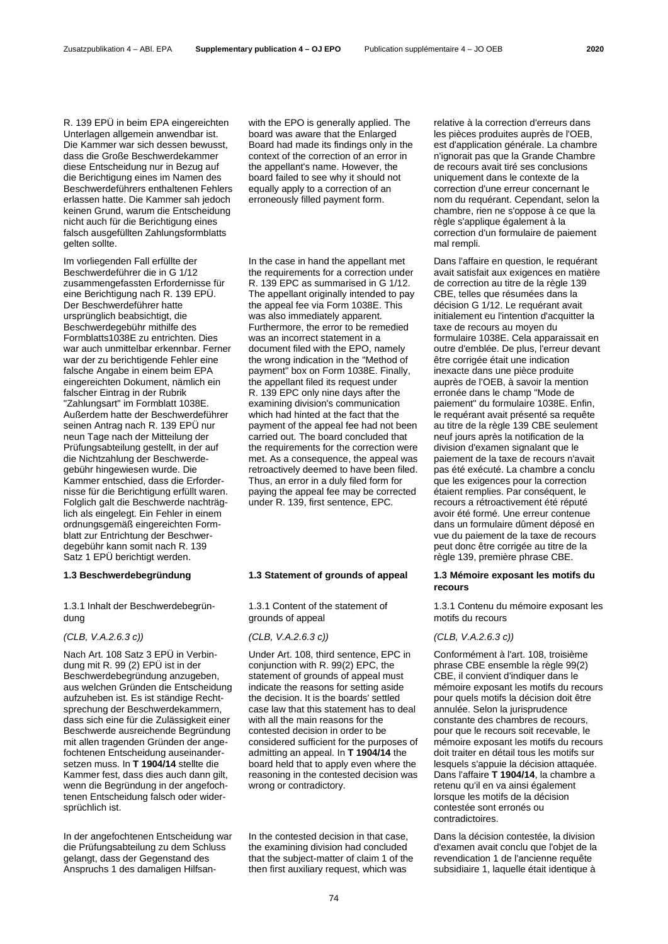R. 139 EPÜ in beim EPA eingereichten Unterlagen allgemein anwendbar ist. Die Kammer war sich dessen bewusst, dass die Große Beschwerdekammer diese Entscheidung nur in Bezug auf die Berichtigung eines im Namen des Beschwerdeführers enthaltenen Fehlers erlassen hatte. Die Kammer sah jedoch keinen Grund, warum die Entscheidung nicht auch für die Berichtigung eines falsch ausgefüllten Zahlungsformblatts gelten sollte.

Im vorliegenden Fall erfüllte der Beschwerdeführer die in G 1/12 zusammengefassten Erfordernisse für eine Berichtigung nach R. 139 EPÜ. Der Beschwerdeführer hatte ursprünglich beabsichtigt, die Beschwerdegebühr mithilfe des Formblatts1038E zu entrichten. Dies war auch unmittelbar erkennbar. Ferner war der zu berichtigende Fehler eine falsche Angabe in einem beim EPA eingereichten Dokument, nämlich ein falscher Eintrag in der Rubrik "Zahlungsart" im Formblatt 1038E. Außerdem hatte der Beschwerdeführer seinen Antrag nach R. 139 EPÜ nur neun Tage nach der Mitteilung der Prüfungsabteilung gestellt, in der auf die Nichtzahlung der Beschwerdegebühr hingewiesen wurde. Die Kammer entschied, dass die Erfordernisse für die Berichtigung erfüllt waren. Folglich galt die Beschwerde nachträglich als eingelegt. Ein Fehler in einem ordnungsgemäß eingereichten Formblatt zur Entrichtung der Beschwerdegebühr kann somit nach R. 139 Satz 1 EPÜ berichtigt werden.

1.3.1 Inhalt der Beschwerdebegründung

# *(CLB, V.A.2.6.3 c)) (CLB, V.A.2.6.3 c)) (CLB, V.A.2.6.3 c))*

Nach Art. 108 Satz 3 EPÜ in Verbindung mit R. 99 (2) EPÜ ist in der Beschwerdebegründung anzugeben, aus welchen Gründen die Entscheidung aufzuheben ist. Es ist ständige Rechtsprechung der Beschwerdekammern, dass sich eine für die Zulässigkeit einer Beschwerde ausreichende Begründung mit allen tragenden Gründen der angefochtenen Entscheidung auseinandersetzen muss. In **T 1904/14** stellte die Kammer fest, dass dies auch dann gilt, wenn die Begründung in der angefochtenen Entscheidung falsch oder widersprüchlich ist.

In der angefochtenen Entscheidung war die Prüfungsabteilung zu dem Schluss gelangt, dass der Gegenstand des Anspruchs 1 des damaligen Hilfsanwith the EPO is generally applied. The board was aware that the Enlarged Board had made its findings only in the context of the correction of an error in the appellant's name. However, the board failed to see why it should not equally apply to a correction of an erroneously filled payment form.

In the case in hand the appellant met the requirements for a correction under R. 139 EPC as summarised in G 1/12. The appellant originally intended to pay the appeal fee via Form 1038E. This was also immediately apparent. Furthermore, the error to be remedied was an incorrect statement in a document filed with the EPO, namely the wrong indication in the "Method of payment" box on Form 1038E. Finally, the appellant filed its request under R. 139 EPC only nine days after the examining division's communication which had hinted at the fact that the payment of the appeal fee had not been carried out. The board concluded that the requirements for the correction were met. As a consequence, the appeal was retroactively deemed to have been filed. Thus, an error in a duly filed form for paying the appeal fee may be corrected under R. 139, first sentence, EPC.

### **1.3 Beschwerdebegründung 1.3 Statement of grounds of appeal 1.3 Mémoire exposant les motifs du**

1.3.1 Content of the statement of grounds of appeal

Under Art. 108, third sentence, EPC in conjunction with R. 99(2) EPC, the statement of grounds of appeal must indicate the reasons for setting aside the decision. It is the boards' settled case law that this statement has to deal with all the main reasons for the contested decision in order to be considered sufficient for the purposes of admitting an appeal. In **T 1904/14** the board held that to apply even where the reasoning in the contested decision was wrong or contradictory.

In the contested decision in that case, the examining division had concluded that the subject-matter of claim 1 of the then first auxiliary request, which was

relative à la correction d'erreurs dans les pièces produites auprès de l'OEB, est d'application générale. La chambre n'ignorait pas que la Grande Chambre de recours avait tiré ses conclusions uniquement dans le contexte de la correction d'une erreur concernant le nom du requérant. Cependant, selon la chambre, rien ne s'oppose à ce que la règle s'applique également à la correction d'un formulaire de paiement mal rempli.

Dans l'affaire en question, le requérant avait satisfait aux exigences en matière de correction au titre de la règle 139 CBE, telles que résumées dans la décision G 1/12. Le requérant avait initialement eu l'intention d'acquitter la taxe de recours au moyen du formulaire 1038E. Cela apparaissait en outre d'emblée. De plus, l'erreur devant être corrigée était une indication inexacte dans une pièce produite auprès de l'OEB, à savoir la mention erronée dans le champ "Mode de paiement" du formulaire 1038E. Enfin, le requérant avait présenté sa requête au titre de la règle 139 CBE seulement neuf jours après la notification de la division d'examen signalant que le paiement de la taxe de recours n'avait pas été exécuté. La chambre a conclu que les exigences pour la correction étaient remplies. Par conséquent, le recours a rétroactivement été réputé avoir été formé. Une erreur contenue dans un formulaire dûment déposé en vue du paiement de la taxe de recours peut donc être corrigée au titre de la règle 139, première phrase CBE.

# **recours**

1.3.1 Contenu du mémoire exposant les motifs du recours

Conformément à l'art. 108, troisième phrase CBE ensemble la règle 99(2) CBE, il convient d'indiquer dans le mémoire exposant les motifs du recours pour quels motifs la décision doit être annulée. Selon la jurisprudence constante des chambres de recours, pour que le recours soit recevable, le mémoire exposant les motifs du recours doit traiter en détail tous les motifs sur lesquels s'appuie la décision attaquée. Dans l'affaire **T 1904/14**, la chambre a retenu qu'il en va ainsi également lorsque les motifs de la décision contestée sont erronés ou contradictoires.

Dans la décision contestée, la division d'examen avait conclu que l'objet de la revendication 1 de l'ancienne requête subsidiaire 1, laquelle était identique à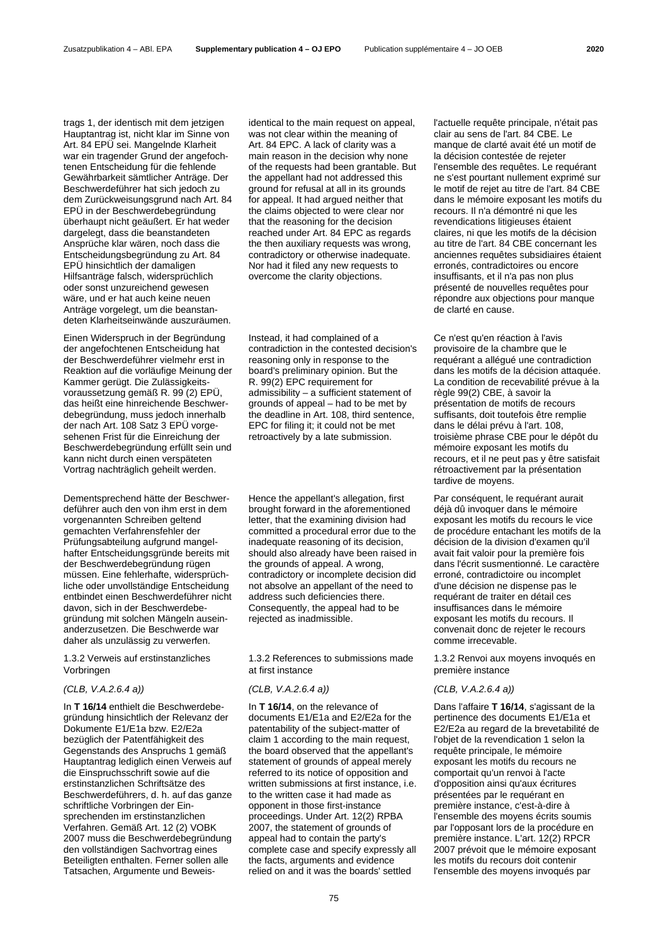trags 1, der identisch mit dem jetzigen Hauptantrag ist, nicht klar im Sinne von Art. 84 EPÜ sei. Mangelnde Klarheit war ein tragender Grund der angefochtenen Entscheidung für die fehlende Gewährbarkeit sämtlicher Anträge. Der Beschwerdeführer hat sich jedoch zu dem Zurückweisungsgrund nach Art. 84 EPÜ in der Beschwerdebegründung überhaupt nicht geäußert. Er hat weder dargelegt, dass die beanstandeten Ansprüche klar wären, noch dass die Entscheidungsbegründung zu Art. 84 EPÜ hinsichtlich der damaligen Hilfsanträge falsch, widersprüchlich oder sonst unzureichend gewesen wäre, und er hat auch keine neuen Anträge vorgelegt, um die beanstandeten Klarheitseinwände auszuräumen.

Einen Widerspruch in der Begründung der angefochtenen Entscheidung hat der Beschwerdeführer vielmehr erst in Reaktion auf die vorläufige Meinung der Kammer gerügt. Die Zulässigkeitsvoraussetzung gemäß R. 99 (2) EPÜ, das heißt eine hinreichende Beschwerdebegründung, muss jedoch innerhalb der nach Art. 108 Satz 3 EPÜ vorgesehenen Frist für die Einreichung der Beschwerdebegründung erfüllt sein und kann nicht durch einen verspäteten Vortrag nachträglich geheilt werden.

Dementsprechend hätte der Beschwerdeführer auch den von ihm erst in dem vorgenannten Schreiben geltend gemachten Verfahrensfehler der Prüfungsabteilung aufgrund mangelhafter Entscheidungsgründe bereits mit der Beschwerdebegründung rügen müssen. Eine fehlerhafte, widersprüchliche oder unvollständige Entscheidung entbindet einen Beschwerdeführer nicht davon, sich in der Beschwerdebegründung mit solchen Mängeln auseinanderzusetzen. Die Beschwerde war daher als unzulässig zu verwerfen.

1.3.2 Verweis auf erstinstanzliches Vorbringen

In **T 16/14** enthielt die Beschwerdebegründung hinsichtlich der Relevanz der Dokumente E1/E1a bzw. E2/E2a bezüglich der Patentfähigkeit des Gegenstands des Anspruchs 1 gemäß Hauptantrag lediglich einen Verweis auf die Einspruchsschrift sowie auf die erstinstanzlichen Schriftsätze des Beschwerdeführers, d. h. auf das ganze schriftliche Vorbringen der Einsprechenden im erstinstanzlichen Verfahren. Gemäß Art. 12 (2) VOBK 2007 muss die Beschwerdebegründung den vollständigen Sachvortrag eines Beteiligten enthalten. Ferner sollen alle Tatsachen, Argumente und Beweisidentical to the main request on appeal, was not clear within the meaning of Art. 84 EPC. A lack of clarity was a main reason in the decision why none of the requests had been grantable. But the appellant had not addressed this ground for refusal at all in its grounds for appeal. It had argued neither that the claims objected to were clear nor that the reasoning for the decision reached under Art. 84 EPC as regards the then auxiliary requests was wrong, contradictory or otherwise inadequate. Nor had it filed any new requests to overcome the clarity objections.

Instead, it had complained of a contradiction in the contested decision's reasoning only in response to the board's preliminary opinion. But the R. 99(2) EPC requirement for admissibility – a sufficient statement of grounds of appeal – had to be met by the deadline in Art. 108, third sentence, EPC for filing it; it could not be met retroactively by a late submission.

Hence the appellant's allegation, first brought forward in the aforementioned letter, that the examining division had committed a procedural error due to the inadequate reasoning of its decision, should also already have been raised in the grounds of appeal. A wrong, contradictory or incomplete decision did not absolve an appellant of the need to address such deficiencies there. Consequently, the appeal had to be rejected as inadmissible.

1.3.2 References to submissions made at first instance

In **T 16/14**, on the relevance of documents E1/E1a and E2/E2a for the patentability of the subject-matter of claim 1 according to the main request, the board observed that the appellant's statement of grounds of appeal merely referred to its notice of opposition and written submissions at first instance, i.e. to the written case it had made as opponent in those first-instance proceedings. Under Art. 12(2) RPBA 2007, the statement of grounds of appeal had to contain the party's complete case and specify expressly all the facts, arguments and evidence relied on and it was the boards' settled

l'actuelle requête principale, n'était pas clair au sens de l'art. 84 CBE. Le manque de clarté avait été un motif de la décision contestée de rejeter l'ensemble des requêtes. Le requérant ne s'est pourtant nullement exprimé sur le motif de rejet au titre de l'art. 84 CBE dans le mémoire exposant les motifs du recours. Il n'a démontré ni que les revendications litigieuses étaient claires, ni que les motifs de la décision au titre de l'art. 84 CBE concernant les anciennes requêtes subsidiaires étaient erronés, contradictoires ou encore insuffisants, et il n'a pas non plus présenté de nouvelles requêtes pour répondre aux objections pour manque de clarté en cause.

Ce n'est qu'en réaction à l'avis provisoire de la chambre que le requérant a allégué une contradiction dans les motifs de la décision attaquée. La condition de recevabilité prévue à la règle 99(2) CBE, à savoir la présentation de motifs de recours suffisants, doit toutefois être remplie dans le délai prévu à l'art. 108, troisième phrase CBE pour le dépôt du mémoire exposant les motifs du recours, et il ne peut pas y être satisfait rétroactivement par la présentation tardive de moyens.

Par conséquent, le requérant aurait déjà dû invoquer dans le mémoire exposant les motifs du recours le vice de procédure entachant les motifs de la décision de la division d'examen qu'il avait fait valoir pour la première fois dans l'écrit susmentionné. Le caractère erroné, contradictoire ou incomplet d'une décision ne dispense pas le requérant de traiter en détail ces insuffisances dans le mémoire exposant les motifs du recours. Il convenait donc de rejeter le recours comme irrecevable.

1.3.2 Renvoi aux moyens invoqués en première instance

### *(CLB, V.A.2.6.4 a)) (CLB, V.A.2.6.4 a)) (CLB, V.A.2.6.4 a))*

Dans l'affaire **T 16/14**, s'agissant de la pertinence des documents E1/E1a et E2/E2a au regard de la brevetabilité de l'objet de la revendication 1 selon la requête principale, le mémoire exposant les motifs du recours ne comportait qu'un renvoi à l'acte d'opposition ainsi qu'aux écritures présentées par le requérant en première instance, c'est-à-dire à l'ensemble des moyens écrits soumis par l'opposant lors de la procédure en première instance. L'art. 12(2) RPCR 2007 prévoit que le mémoire exposant les motifs du recours doit contenir l'ensemble des moyens invoqués par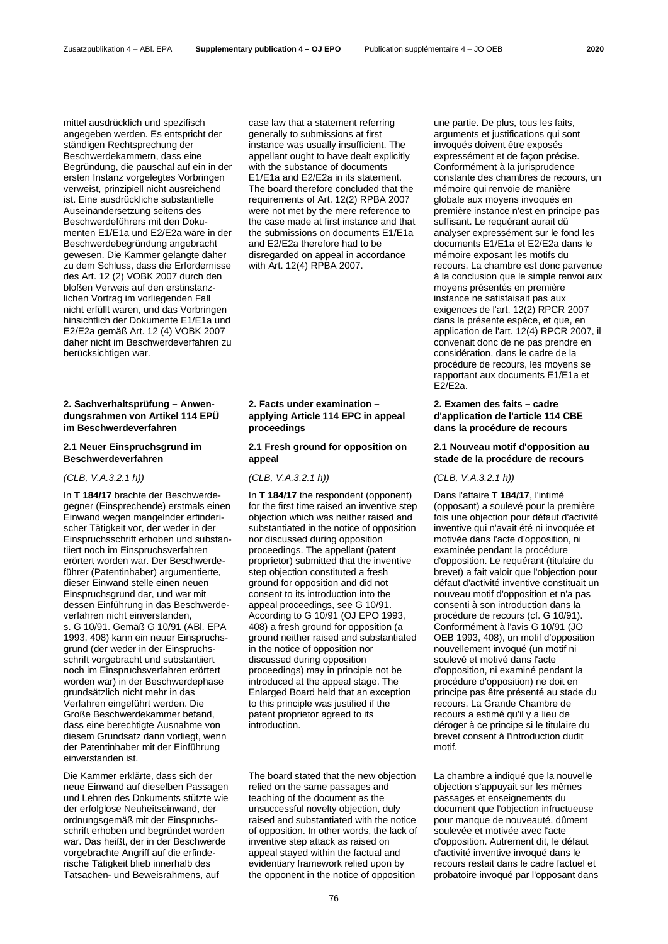mittel ausdrücklich und spezifisch angegeben werden. Es entspricht der ständigen Rechtsprechung der Beschwerdekammern, dass eine Begründung, die pauschal auf ein in der ersten Instanz vorgelegtes Vorbringen verweist, prinzipiell nicht ausreichend ist. Eine ausdrückliche substantielle Auseinandersetzung seitens des Beschwerdeführers mit den Dokumenten E1/E1a und E2/E2a wäre in der Beschwerdebegründung angebracht gewesen. Die Kammer gelangte daher zu dem Schluss, dass die Erfordernisse des Art. 12 (2) VOBK 2007 durch den bloßen Verweis auf den erstinstanzlichen Vortrag im vorliegenden Fall nicht erfüllt waren, und das Vorbringen hinsichtlich der Dokumente E1/E1a und E2/E2a gemäß Art. 12 (4) VOBK 2007 daher nicht im Beschwerdeverfahren zu berücksichtigen war.

# **2. Sachverhaltsprüfung – Anwendungsrahmen von Artikel 114 EPÜ im Beschwerdeverfahren**

# **2.1 Neuer Einspruchsgrund im Beschwerdeverfahren**

In **T 184/17** brachte der Beschwerdegegner (Einsprechende) erstmals einen Einwand wegen mangelnder erfinderischer Tätigkeit vor, der weder in der Einspruchsschrift erhoben und substantiiert noch im Einspruchsverfahren erörtert worden war. Der Beschwerdeführer (Patentinhaber) argumentierte, dieser Einwand stelle einen neuen Einspruchsgrund dar, und war mit dessen Einführung in das Beschwerdeverfahren nicht einverstanden, s. G 10/91. Gemäß G 10/91 (ABl. EPA 1993, 408) kann ein neuer Einspruchsgrund (der weder in der Einspruchsschrift vorgebracht und substantiiert noch im Einspruchsverfahren erörtert worden war) in der Beschwerdephase grundsätzlich nicht mehr in das Verfahren eingeführt werden. Die Große Beschwerdekammer befand, dass eine berechtigte Ausnahme von diesem Grundsatz dann vorliegt, wenn der Patentinhaber mit der Einführung einverstanden ist.

Die Kammer erklärte, dass sich der neue Einwand auf dieselben Passagen und Lehren des Dokuments stützte wie der erfolglose Neuheitseinwand, der ordnungsgemäß mit der Einspruchsschrift erhoben und begründet worden war. Das heißt, der in der Beschwerde vorgebrachte Angriff auf die erfinderische Tätigkeit blieb innerhalb des Tatsachen- und Beweisrahmens, auf

case law that a statement referring generally to submissions at first instance was usually insufficient. The appellant ought to have dealt explicitly with the substance of documents E1/E1a and E2/E2a in its statement. The board therefore concluded that the requirements of Art. 12(2) RPBA 2007 were not met by the mere reference to the case made at first instance and that the submissions on documents E1/E1a and E2/E2a therefore had to be disregarded on appeal in accordance with Art. 12(4) RPBA 2007.

# **2. Facts under examination – applying Article 114 EPC in appeal proceedings**

# **2.1 Fresh ground for opposition on appeal**

In **T 184/17** the respondent (opponent) for the first time raised an inventive step objection which was neither raised and substantiated in the notice of opposition nor discussed during opposition proceedings. The appellant (patent proprietor) submitted that the inventive step objection constituted a fresh ground for opposition and did not consent to its introduction into the appeal proceedings, see G 10/91. According to G 10/91 (OJ EPO 1993, 408) a fresh ground for opposition (a ground neither raised and substantiated in the notice of opposition nor discussed during opposition proceedings) may in principle not be introduced at the appeal stage. The Enlarged Board held that an exception to this principle was justified if the patent proprietor agreed to its introduction.

The board stated that the new objection relied on the same passages and teaching of the document as the unsuccessful novelty objection, duly raised and substantiated with the notice of opposition. In other words, the lack of inventive step attack as raised on appeal stayed within the factual and evidentiary framework relied upon by the opponent in the notice of opposition

une partie. De plus, tous les faits, arguments et justifications qui sont invoqués doivent être exposés expressément et de façon précise. Conformément à la jurisprudence constante des chambres de recours, un mémoire qui renvoie de manière globale aux moyens invoqués en première instance n'est en principe pas suffisant. Le requérant aurait dû analyser expressément sur le fond les documents E1/E1a et E2/E2a dans le mémoire exposant les motifs du recours. La chambre est donc parvenue à la conclusion que le simple renvoi aux moyens présentés en première instance ne satisfaisait pas aux exigences de l'art. 12(2) RPCR 2007 dans la présente espèce, et que, en application de l'art. 12(4) RPCR 2007, il convenait donc de ne pas prendre en considération, dans le cadre de la procédure de recours, les moyens se rapportant aux documents E1/E1a et E2/E2a.

# **2. Examen des faits – cadre d'application de l'article 114 CBE dans la procédure de recours**

# **2.1 Nouveau motif d'opposition au stade de la procédure de recours**

# *(CLB, V.A.3.2.1 h)) (CLB, V.A.3.2.1 h)) (CLB, V.A.3.2.1 h))*

Dans l'affaire **T 184/17**, l'intimé (opposant) a soulevé pour la première fois une objection pour défaut d'activité inventive qui n'avait été ni invoquée et motivée dans l'acte d'opposition, ni examinée pendant la procédure d'opposition. Le requérant (titulaire du brevet) a fait valoir que l'objection pour défaut d'activité inventive constituait un nouveau motif d'opposition et n'a pas consenti à son introduction dans la procédure de recours (cf. G 10/91). Conformément à l'avis G 10/91 (JO OEB 1993, 408), un motif d'opposition nouvellement invoqué (un motif ni soulevé et motivé dans l'acte d'opposition, ni examiné pendant la procédure d'opposition) ne doit en principe pas être présenté au stade du recours. La Grande Chambre de recours a estimé qu'il y a lieu de déroger à ce principe si le titulaire du brevet consent à l'introduction dudit motif.

La chambre a indiqué que la nouvelle objection s'appuyait sur les mêmes passages et enseignements du document que l'objection infructueuse pour manque de nouveauté, dûment soulevée et motivée avec l'acte d'opposition. Autrement dit, le défaut d'activité inventive invoqué dans le recours restait dans le cadre factuel et probatoire invoqué par l'opposant dans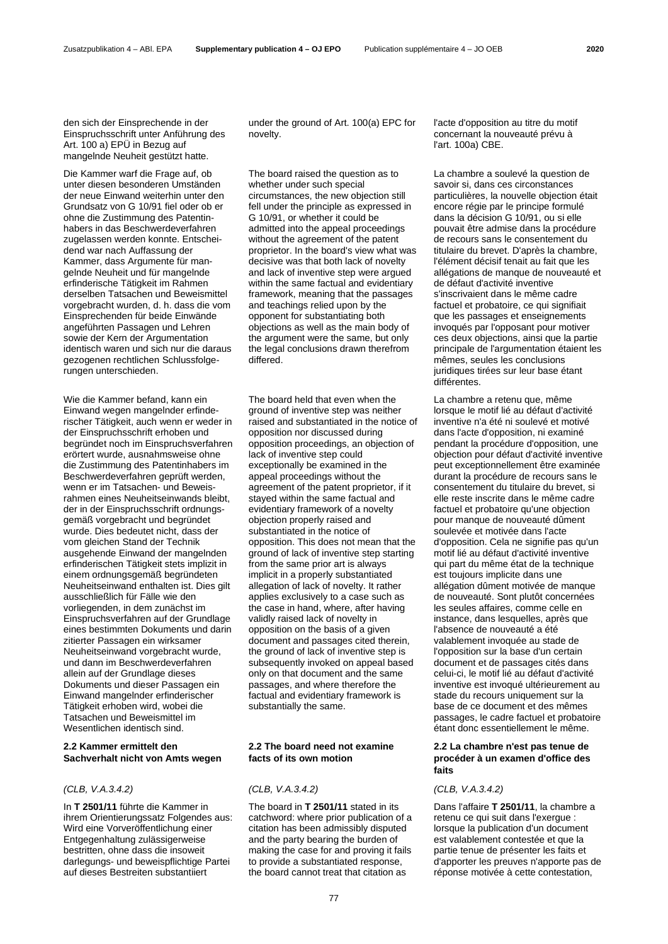den sich der Einsprechende in der Einspruchsschrift unter Anführung des Art. 100 a) EPÜ in Bezug auf mangelnde Neuheit gestützt hatte.

Die Kammer warf die Frage auf, ob unter diesen besonderen Umständen der neue Einwand weiterhin unter den Grundsatz von G 10/91 fiel oder ob er ohne die Zustimmung des Patentinhabers in das Beschwerdeverfahren zugelassen werden konnte. Entscheidend war nach Auffassung der Kammer, dass Argumente für mangelnde Neuheit und für mangelnde erfinderische Tätigkeit im Rahmen derselben Tatsachen und Beweismittel vorgebracht wurden, d. h. dass die vom Einsprechenden für beide Einwände angeführten Passagen und Lehren sowie der Kern der Argumentation identisch waren und sich nur die daraus gezogenen rechtlichen Schlussfolgerungen unterschieden.

Wie die Kammer befand, kann ein Einwand wegen mangelnder erfinderischer Tätigkeit, auch wenn er weder in der Einspruchsschrift erhoben und begründet noch im Einspruchsverfahren erörtert wurde, ausnahmsweise ohne die Zustimmung des Patentinhabers im Beschwerdeverfahren geprüft werden, wenn er im Tatsachen- und Beweisrahmen eines Neuheitseinwands bleibt, der in der Einspruchsschrift ordnungsgemäß vorgebracht und begründet wurde. Dies bedeutet nicht, dass der vom gleichen Stand der Technik ausgehende Einwand der mangelnden erfinderischen Tätigkeit stets implizit in einem ordnungsgemäß begründeten Neuheitseinwand enthalten ist. Dies gilt ausschließlich für Fälle wie den vorliegenden, in dem zunächst im Einspruchsverfahren auf der Grundlage eines bestimmten Dokuments und darin zitierter Passagen ein wirksamer Neuheitseinwand vorgebracht wurde, und dann im Beschwerdeverfahren allein auf der Grundlage dieses Dokuments und dieser Passagen ein Einwand mangelnder erfinderischer Tätigkeit erhoben wird, wobei die Tatsachen und Beweismittel im Wesentlichen identisch sind.

# **2.2 Kammer ermittelt den Sachverhalt nicht von Amts wegen**

In **T 2501/11** führte die Kammer in ihrem Orientierungssatz Folgendes aus: Wird eine Vorveröffentlichung einer Entgegenhaltung zulässigerweise bestritten, ohne dass die insoweit darlegungs- und beweispflichtige Partei auf dieses Bestreiten substantiiert

under the ground of Art. 100(a) EPC for novelty.

The board raised the question as to whether under such special circumstances, the new objection still fell under the principle as expressed in G 10/91, or whether it could be admitted into the appeal proceedings without the agreement of the patent proprietor. In the board's view what was decisive was that both lack of novelty and lack of inventive step were argued within the same factual and evidentiary framework, meaning that the passages and teachings relied upon by the opponent for substantiating both objections as well as the main body of the argument were the same, but only the legal conclusions drawn therefrom differed.

The board held that even when the ground of inventive step was neither raised and substantiated in the notice of opposition nor discussed during opposition proceedings, an objection of lack of inventive step could exceptionally be examined in the appeal proceedings without the agreement of the patent proprietor, if it stayed within the same factual and evidentiary framework of a novelty objection properly raised and substantiated in the notice of opposition. This does not mean that the ground of lack of inventive step starting from the same prior art is always implicit in a properly substantiated allegation of lack of novelty. It rather applies exclusively to a case such as the case in hand, where, after having validly raised lack of novelty in opposition on the basis of a given document and passages cited therein, the ground of lack of inventive step is subsequently invoked on appeal based only on that document and the same passages, and where therefore the factual and evidentiary framework is substantially the same.

# **2.2 The board need not examine facts of its own motion**

### *(CLB, V.A.3.4.2) (CLB, V.A.3.4.2) (CLB, V.A.3.4.2)*

The board in **T 2501/11** stated in its catchword: where prior publication of a citation has been admissibly disputed and the party bearing the burden of making the case for and proving it fails to provide a substantiated response, the board cannot treat that citation as

La chambre a soulevé la question de

l'art. 100a) CBE.

l'acte d'opposition au titre du motif concernant la nouveauté prévu à

savoir si, dans ces circonstances particulières, la nouvelle objection était encore régie par le principe formulé dans la décision G 10/91, ou si elle pouvait être admise dans la procédure de recours sans le consentement du titulaire du brevet. D'après la chambre, l'élément décisif tenait au fait que les allégations de manque de nouveauté et de défaut d'activité inventive s'inscrivaient dans le même cadre factuel et probatoire, ce qui signifiait que les passages et enseignements invoqués par l'opposant pour motiver ces deux objections, ainsi que la partie principale de l'argumentation étaient les mêmes, seules les conclusions juridiques tirées sur leur base étant différentes.

La chambre a retenu que, même lorsque le motif lié au défaut d'activité inventive n'a été ni soulevé et motivé dans l'acte d'opposition, ni examiné pendant la procédure d'opposition, une objection pour défaut d'activité inventive peut exceptionnellement être examinée durant la procédure de recours sans le consentement du titulaire du brevet, si elle reste inscrite dans le même cadre factuel et probatoire qu'une objection pour manque de nouveauté dûment soulevée et motivée dans l'acte d'opposition. Cela ne signifie pas qu'un motif lié au défaut d'activité inventive qui part du même état de la technique est toujours implicite dans une allégation dûment motivée de manque de nouveauté. Sont plutôt concernées les seules affaires, comme celle en instance, dans lesquelles, après que l'absence de nouveauté a été valablement invoquée au stade de l'opposition sur la base d'un certain document et de passages cités dans celui-ci, le motif lié au défaut d'activité inventive est invoqué ultérieurement au stade du recours uniquement sur la base de ce document et des mêmes passages, le cadre factuel et probatoire étant donc essentiellement le même.

# **2.2 La chambre n'est pas tenue de procéder à un examen d'office des faits**

Dans l'affaire **T 2501/11**, la chambre a retenu ce qui suit dans l'exergue : lorsque la publication d'un document est valablement contestée et que la partie tenue de présenter les faits et d'apporter les preuves n'apporte pas de réponse motivée à cette contestation,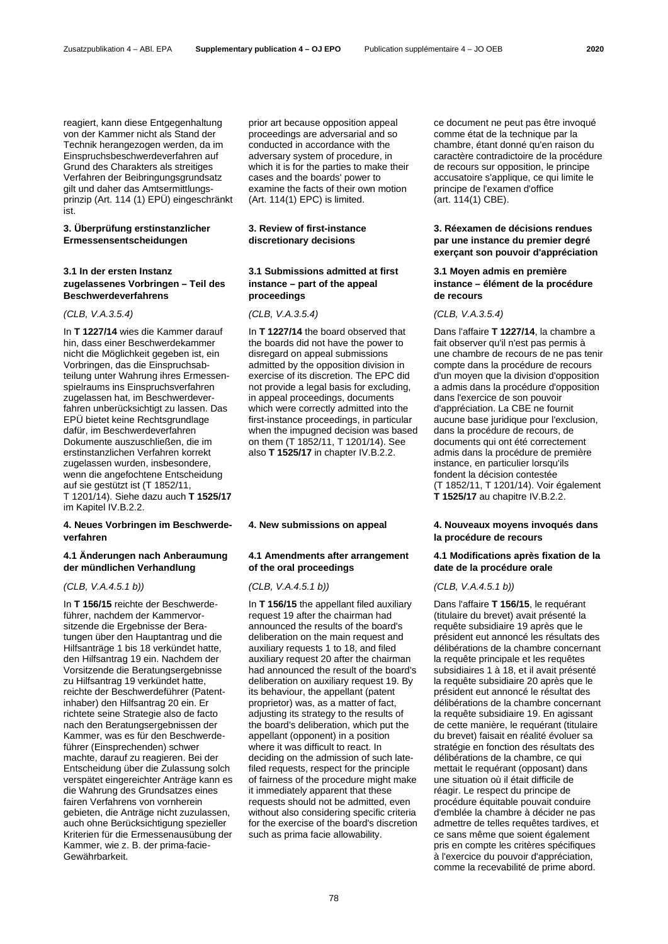reagiert, kann diese Entgegenhaltung von der Kammer nicht als Stand der Technik herangezogen werden, da im Einspruchsbeschwerdeverfahren auf Grund des Charakters als streitiges Verfahren der Beibringungsgrundsatz gilt und daher das Amtsermittlungsprinzip (Art. 114 (1) EPÜ) eingeschränkt ist.

### **3. Überprüfung erstinstanzlicher Ermessensentscheidungen**

### **3.1 In der ersten Instanz zugelassenes Vorbringen – Teil des Beschwerdeverfahrens**

In **T 1227/14** wies die Kammer darauf hin, dass einer Beschwerdekammer nicht die Möglichkeit gegeben ist, ein Vorbringen, das die Einspruchsabteilung unter Wahrung ihres Ermessenspielraums ins Einspruchsverfahren zugelassen hat, im Beschwerdeverfahren unberücksichtigt zu lassen. Das EPÜ bietet keine Rechtsgrundlage dafür, im Beschwerdeverfahren Dokumente auszuschließen, die im erstinstanzlichen Verfahren korrekt zugelassen wurden, insbesondere, wenn die angefochtene Entscheidung auf sie gestützt ist (T 1852/11, T 1201/14). Siehe dazu auch **T 1525/17** im Kapitel IV.B.2.2.

### **4. Neues Vorbringen im Beschwerdeverfahren**

# **4.1 Änderungen nach Anberaumung der mündlichen Verhandlung**

In **T 156/15** reichte der Beschwerdeführer, nachdem der Kammervorsitzende die Ergebnisse der Beratungen über den Hauptantrag und die Hilfsanträge 1 bis 18 verkündet hatte, den Hilfsantrag 19 ein. Nachdem der Vorsitzende die Beratungsergebnisse zu Hilfsantrag 19 verkündet hatte, reichte der Beschwerdeführer (Patentinhaber) den Hilfsantrag 20 ein. Er richtete seine Strategie also de facto nach den Beratungsergebnissen der Kammer, was es für den Beschwerdeführer (Einsprechenden) schwer machte, darauf zu reagieren. Bei der Entscheidung über die Zulassung solch verspätet eingereichter Anträge kann es die Wahrung des Grundsatzes eines fairen Verfahrens von vornherein gebieten, die Anträge nicht zuzulassen, auch ohne Berücksichtigung spezieller Kriterien für die Ermessenausübung der Kammer, wie z. B. der prima-facie-Gewährbarkeit.

prior art because opposition appeal proceedings are adversarial and so conducted in accordance with the adversary system of procedure, in which it is for the parties to make their cases and the boards' power to examine the facts of their own motion (Art. 114(1) EPC) is limited.

# **3. Review of first-instance discretionary decisions**

# **3.1 Submissions admitted at first instance – part of the appeal proceedings**

In **T 1227/14** the board observed that the boards did not have the power to disregard on appeal submissions admitted by the opposition division in exercise of its discretion. The EPC did not provide a legal basis for excluding, in appeal proceedings, documents which were correctly admitted into the first-instance proceedings, in particular when the impugned decision was based on them (T 1852/11, T 1201/14). See also **T 1525/17** in chapter IV.B.2.2.

# **4.1 Amendments after arrangement of the oral proceedings**

### *(CLB, V.A.4.5.1 b)) (CLB, V.A.4.5.1 b)) (CLB, V.A.4.5.1 b))*

In **T 156/15** the appellant filed auxiliary request 19 after the chairman had announced the results of the board's deliberation on the main request and auxiliary requests 1 to 18, and filed auxiliary request 20 after the chairman had announced the result of the board's deliberation on auxiliary request 19. By its behaviour, the appellant (patent proprietor) was, as a matter of fact, adjusting its strategy to the results of the board's deliberation, which put the appellant (opponent) in a position where it was difficult to react. In deciding on the admission of such latefiled requests, respect for the principle of fairness of the procedure might make it immediately apparent that these requests should not be admitted, even without also considering specific criteria for the exercise of the board's discretion such as prima facie allowability.

ce document ne peut pas être invoqué comme état de la technique par la chambre, étant donné qu'en raison du caractère contradictoire de la procédure de recours sur opposition, le principe accusatoire s'applique, ce qui limite le principe de l'examen d'office (art. 114(1) CBE).

# **3. Réexamen de décisions rendues par une instance du premier degré exerçant son pouvoir d'appréciation**

### **3.1 Moyen admis en première instance – élément de la procédure de recours**

# *(CLB, V.A.3.5.4) (CLB, V.A.3.5.4) (CLB, V.A.3.5.4)*

Dans l'affaire **T 1227/14**, la chambre a fait observer qu'il n'est pas permis à une chambre de recours de ne pas tenir compte dans la procédure de recours d'un moyen que la division d'opposition a admis dans la procédure d'opposition dans l'exercice de son pouvoir d'appréciation. La CBE ne fournit aucune base juridique pour l'exclusion, dans la procédure de recours, de documents qui ont été correctement admis dans la procédure de première instance, en particulier lorsqu'ils fondent la décision contestée (T 1852/11, T 1201/14). Voir également **T 1525/17** au chapitre IV.B.2.2.

# **4. New submissions on appeal 4. Nouveaux moyens invoqués dans la procédure de recours**

# **4.1 Modifications après fixation de la date de la procédure orale**

Dans l'affaire **T 156/15**, le requérant (titulaire du brevet) avait présenté la requête subsidiaire 19 après que le président eut annoncé les résultats des délibérations de la chambre concernant la requête principale et les requêtes subsidiaires 1 à 18, et il avait présenté la requête subsidiaire 20 après que le président eut annoncé le résultat des délibérations de la chambre concernant la requête subsidiaire 19. En agissant de cette manière, le requérant (titulaire du brevet) faisait en réalité évoluer sa stratégie en fonction des résultats des délibérations de la chambre, ce qui mettait le requérant (opposant) dans une situation où il était difficile de réagir. Le respect du principe de procédure équitable pouvait conduire d'emblée la chambre à décider ne pas admettre de telles requêtes tardives, et ce sans même que soient également pris en compte les critères spécifiques à l'exercice du pouvoir d'appréciation, comme la recevabilité de prime abord.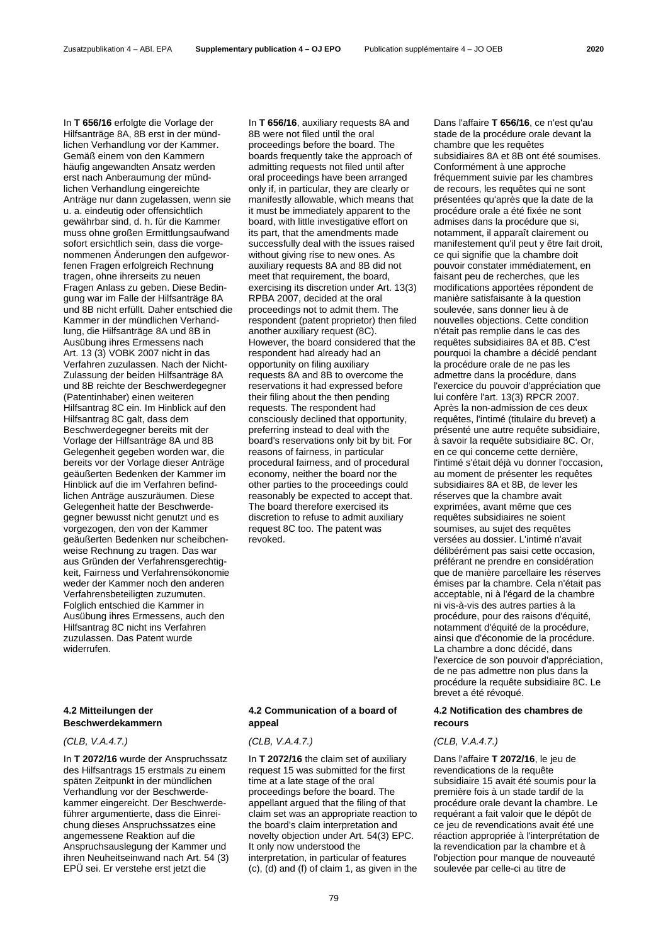In **T 656/16** erfolgte die Vorlage der Hilfsanträge 8A, 8B erst in der mündlichen Verhandlung vor der Kammer. Gemäß einem von den Kammern häufig angewandten Ansatz werden erst nach Anberaumung der mündlichen Verhandlung eingereichte Anträge nur dann zugelassen, wenn sie u. a. eindeutig oder offensichtlich gewährbar sind, d. h. für die Kammer muss ohne großen Ermittlungsaufwand sofort ersichtlich sein, dass die vorgenommenen Änderungen den aufgeworfenen Fragen erfolgreich Rechnung tragen, ohne ihrerseits zu neuen Fragen Anlass zu geben. Diese Bedingung war im Falle der Hilfsanträge 8A und 8B nicht erfüllt. Daher entschied die Kammer in der mündlichen Verhandlung, die Hilfsanträge 8A und 8B in Ausübung ihres Ermessens nach Art. 13 (3) VOBK 2007 nicht in das Verfahren zuzulassen. Nach der Nicht-Zulassung der beiden Hilfsanträge 8A und 8B reichte der Beschwerdegegner (Patentinhaber) einen weiteren Hilfsantrag 8C ein. Im Hinblick auf den Hilfsantrag 8C galt, dass dem Beschwerdegegner bereits mit der Vorlage der Hilfsanträge 8A und 8B Gelegenheit gegeben worden war, die bereits vor der Vorlage dieser Anträge geäußerten Bedenken der Kammer im Hinblick auf die im Verfahren befindlichen Anträge auszuräumen. Diese Gelegenheit hatte der Beschwerdegegner bewusst nicht genutzt und es vorgezogen, den von der Kammer geäußerten Bedenken nur scheibchenweise Rechnung zu tragen. Das war aus Gründen der Verfahrensgerechtigkeit, Fairness und Verfahrensökonomie weder der Kammer noch den anderen Verfahrensbeteiligten zuzumuten. Folglich entschied die Kammer in Ausübung ihres Ermessens, auch den Hilfsantrag 8C nicht ins Verfahren zuzulassen. Das Patent wurde widerrufen.

### **4.2 Mitteilungen der Beschwerdekammern**

### *(CLB, V.A.4.7.) (CLB, V.A.4.7.) (CLB, V.A.4.7.)*

In **T 2072/16** wurde der Anspruchssatz des Hilfsantrags 15 erstmals zu einem späten Zeitpunkt in der mündlichen Verhandlung vor der Beschwerdekammer eingereicht. Der Beschwerdeführer argumentierte, dass die Einreichung dieses Anspruchssatzes eine angemessene Reaktion auf die Anspruchsauslegung der Kammer und ihren Neuheitseinwand nach Art. 54 (3) EPÜ sei. Er verstehe erst jetzt die

In **T 656/16**, auxiliary requests 8A and 8B were not filed until the oral proceedings before the board. The boards frequently take the approach of admitting requests not filed until after oral proceedings have been arranged only if, in particular, they are clearly or manifestly allowable, which means that it must be immediately apparent to the board, with little investigative effort on its part, that the amendments made successfully deal with the issues raised without giving rise to new ones. As auxiliary requests 8A and 8B did not meet that requirement, the board, exercising its discretion under Art. 13(3) RPBA 2007, decided at the oral proceedings not to admit them. The respondent (patent proprietor) then filed another auxiliary request (8C). However, the board considered that the respondent had already had an opportunity on filing auxiliary requests 8A and 8B to overcome the reservations it had expressed before their filing about the then pending requests. The respondent had consciously declined that opportunity, preferring instead to deal with the board's reservations only bit by bit. For reasons of fairness, in particular procedural fairness, and of procedural economy, neither the board nor the other parties to the proceedings could reasonably be expected to accept that. The board therefore exercised its discretion to refuse to admit auxiliary request 8C too. The patent was revoked.

# **4.2 Communication of a board of appeal**

In **T 2072/16** the claim set of auxiliary request 15 was submitted for the first time at a late stage of the oral proceedings before the board. The appellant argued that the filing of that claim set was an appropriate reaction to the board's claim interpretation and novelty objection under Art. 54(3) EPC. It only now understood the interpretation, in particular of features (c), (d) and (f) of claim 1, as given in the Dans l'affaire **T 656/16**, ce n'est qu'au stade de la procédure orale devant la chambre que les requêtes subsidiaires 8A et 8B ont été soumises. Conformément à une approche fréquemment suivie par les chambres de recours, les requêtes qui ne sont présentées qu'après que la date de la procédure orale a été fixée ne sont admises dans la procédure que si, notamment, il apparaît clairement ou manifestement qu'il peut y être fait droit, ce qui signifie que la chambre doit pouvoir constater immédiatement, en faisant peu de recherches, que les modifications apportées répondent de manière satisfaisante à la question soulevée, sans donner lieu à de nouvelles objections. Cette condition n'était pas remplie dans le cas des requêtes subsidiaires 8A et 8B. C'est pourquoi la chambre a décidé pendant la procédure orale de ne pas les admettre dans la procédure, dans l'exercice du pouvoir d'appréciation que lui confère l'art. 13(3) RPCR 2007. Après la non-admission de ces deux requêtes, l'intimé (titulaire du brevet) a présenté une autre requête subsidiaire, à savoir la requête subsidiaire 8C. Or, en ce qui concerne cette dernière, l'intimé s'était déjà vu donner l'occasion, au moment de présenter les requêtes subsidiaires 8A et 8B, de lever les réserves que la chambre avait exprimées, avant même que ces requêtes subsidiaires ne soient soumises, au sujet des requêtes versées au dossier. L'intimé n'avait délibérément pas saisi cette occasion, préférant ne prendre en considération que de manière parcellaire les réserves émises par la chambre. Cela n'était pas acceptable, ni à l'égard de la chambre ni vis-à-vis des autres parties à la procédure, pour des raisons d'équité, notamment d'équité de la procédure, ainsi que d'économie de la procédure. La chambre a donc décidé, dans l'exercice de son pouvoir d'appréciation, de ne pas admettre non plus dans la procédure la requête subsidiaire 8C. Le brevet a été révoqué.

### **4.2 Notification des chambres de recours**

Dans l'affaire **T 2072/16**, le jeu de revendications de la requête subsidiaire 15 avait été soumis pour la première fois à un stade tardif de la procédure orale devant la chambre. Le requérant a fait valoir que le dépôt de ce jeu de revendications avait été une réaction appropriée à l'interprétation de la revendication par la chambre et à l'objection pour manque de nouveauté soulevée par celle-ci au titre de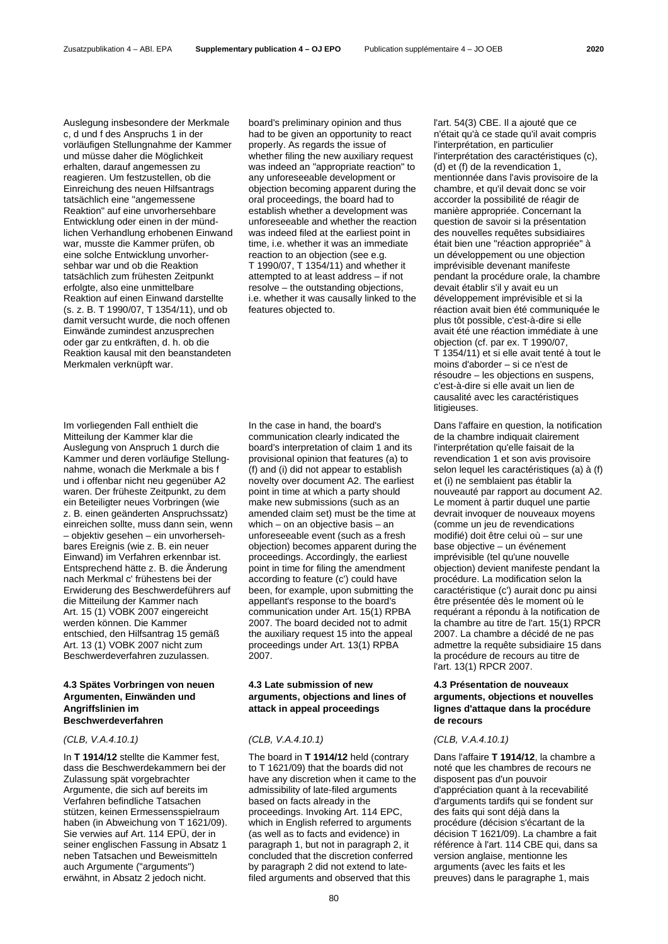Auslegung insbesondere der Merkmale c, d und f des Anspruchs 1 in der vorläufigen Stellungnahme der Kammer und müsse daher die Möglichkeit erhalten, darauf angemessen zu reagieren. Um festzustellen, ob die Einreichung des neuen Hilfsantrags tatsächlich eine "angemessene Reaktion" auf eine unvorhersehbare Entwicklung oder einen in der mündlichen Verhandlung erhobenen Einwand war, musste die Kammer prüfen, ob eine solche Entwicklung unvorhersehbar war und ob die Reaktion tatsächlich zum frühesten Zeitpunkt erfolgte, also eine unmittelbare Reaktion auf einen Einwand darstellte (s. z. B. T 1990/07, T 1354/11), und ob damit versucht wurde, die noch offenen Einwände zumindest anzusprechen oder gar zu entkräften, d. h. ob die Reaktion kausal mit den beanstandeten Merkmalen verknüpft war.

Im vorliegenden Fall enthielt die Mitteilung der Kammer klar die Auslegung von Anspruch 1 durch die Kammer und deren vorläufige Stellungnahme, wonach die Merkmale a bis f und i offenbar nicht neu gegenüber A2 waren. Der früheste Zeitpunkt, zu dem ein Beteiligter neues Vorbringen (wie z. B. einen geänderten Anspruchssatz) einreichen sollte, muss dann sein, wenn – objektiv gesehen – ein unvorhersehbares Ereignis (wie z. B. ein neuer Einwand) im Verfahren erkennbar ist. Entsprechend hätte z. B. die Änderung nach Merkmal c' frühestens bei der Erwiderung des Beschwerdeführers auf die Mitteilung der Kammer nach Art. 15 (1) VOBK 2007 eingereicht werden können. Die Kammer entschied, den Hilfsantrag 15 gemäß Art. 13 (1) VOBK 2007 nicht zum Beschwerdeverfahren zuzulassen.

### **4.3 Spätes Vorbringen von neuen Argumenten, Einwänden und Angriffslinien im Beschwerdeverfahren**

### *(CLB, V.A.4.10.1) (CLB, V.A.4.10.1) (CLB, V.A.4.10.1)*

In **T 1914/12** stellte die Kammer fest, dass die Beschwerdekammern bei der Zulassung spät vorgebrachter Argumente, die sich auf bereits im Verfahren befindliche Tatsachen stützen, keinen Ermessensspielraum haben (in Abweichung von T 1621/09). Sie verwies auf Art. 114 EPÜ, der in seiner englischen Fassung in Absatz 1 neben Tatsachen und Beweismitteln auch Argumente ("arguments") erwähnt, in Absatz 2 jedoch nicht.

board's preliminary opinion and thus had to be given an opportunity to react properly. As regards the issue of whether filing the new auxiliary request was indeed an "appropriate reaction" to any unforeseeable development or objection becoming apparent during the oral proceedings, the board had to establish whether a development was unforeseeable and whether the reaction was indeed filed at the earliest point in time, i.e. whether it was an immediate reaction to an objection (see e.g. T 1990/07, T 1354/11) and whether it attempted to at least address – if not resolve – the outstanding objections, i.e. whether it was causally linked to the features objected to.

In the case in hand, the board's communication clearly indicated the board's interpretation of claim 1 and its provisional opinion that features (a) to (f) and (i) did not appear to establish novelty over document A2. The earliest point in time at which a party should make new submissions (such as an amended claim set) must be the time at which – on an objective basis – an unforeseeable event (such as a fresh objection) becomes apparent during the proceedings. Accordingly, the earliest point in time for filing the amendment according to feature (c') could have been, for example, upon submitting the appellant's response to the board's communication under Art. 15(1) RPBA 2007. The board decided not to admit the auxiliary request 15 into the appeal proceedings under Art. 13(1) RPBA 2007.

# **4.3 Late submission of new arguments, objections and lines of attack in appeal proceedings**

The board in **T 1914/12** held (contrary to T 1621/09) that the boards did not have any discretion when it came to the admissibility of late-filed arguments based on facts already in the proceedings. Invoking Art. 114 EPC, which in English referred to arguments (as well as to facts and evidence) in paragraph 1, but not in paragraph 2, it concluded that the discretion conferred by paragraph 2 did not extend to latefiled arguments and observed that this

l'art. 54(3) CBE. Il a ajouté que ce n'était qu'à ce stade qu'il avait compris l'interprétation, en particulier l'interprétation des caractéristiques (c), (d) et (f) de la revendication 1, mentionnée dans l'avis provisoire de la chambre, et qu'il devait donc se voir accorder la possibilité de réagir de manière appropriée. Concernant la question de savoir si la présentation des nouvelles requêtes subsidiaires était bien une "réaction appropriée" à un développement ou une objection imprévisible devenant manifeste pendant la procédure orale, la chambre devait établir s'il y avait eu un développement imprévisible et si la réaction avait bien été communiquée le plus tôt possible, c'est-à-dire si elle avait été une réaction immédiate à une objection (cf. par ex. T 1990/07, T 1354/11) et si elle avait tenté à tout le moins d'aborder – si ce n'est de résoudre – les objections en suspens, c'est-à-dire si elle avait un lien de causalité avec les caractéristiques litigieuses.

Dans l'affaire en question, la notification de la chambre indiquait clairement l'interprétation qu'elle faisait de la revendication 1 et son avis provisoire selon lequel les caractéristiques (a) à (f) et (i) ne semblaient pas établir la nouveauté par rapport au document A2. Le moment à partir duquel une partie devrait invoquer de nouveaux moyens (comme un jeu de revendications modifié) doit être celui où – sur une base objective – un événement imprévisible (tel qu'une nouvelle objection) devient manifeste pendant la procédure. La modification selon la caractéristique (c') aurait donc pu ainsi être présentée dès le moment où le requérant a répondu à la notification de la chambre au titre de l'art. 15(1) RPCR 2007. La chambre a décidé de ne pas admettre la requête subsidiaire 15 dans la procédure de recours au titre de l'art. 13(1) RPCR 2007.

### **4.3 Présentation de nouveaux arguments, objections et nouvelles lignes d'attaque dans la procédure de recours**

Dans l'affaire **T 1914/12**, la chambre a noté que les chambres de recours ne disposent pas d'un pouvoir d'appréciation quant à la recevabilité d'arguments tardifs qui se fondent sur des faits qui sont déjà dans la procédure (décision s'écartant de la décision T 1621/09). La chambre a fait référence à l'art. 114 CBE qui, dans sa version anglaise, mentionne les arguments (avec les faits et les preuves) dans le paragraphe 1, mais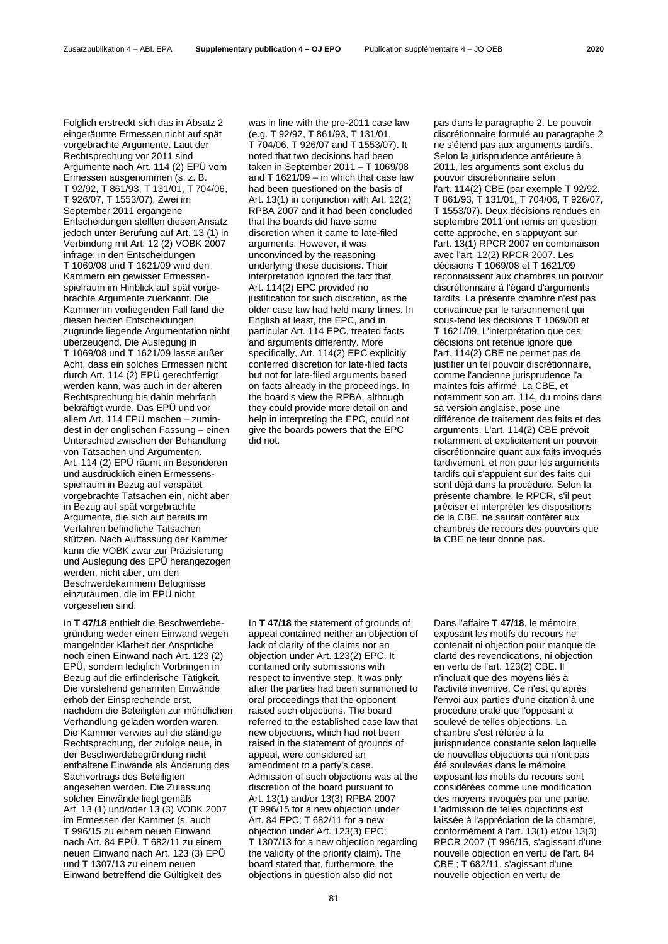Folglich erstreckt sich das in Absatz 2 eingeräumte Ermessen nicht auf spät vorgebrachte Argumente. Laut der Rechtsprechung vor 2011 sind Argumente nach Art. 114 (2) EPÜ vom Ermessen ausgenommen (s. z. B. T 92/92, T 861/93, T 131/01, T 704/06, T 926/07, T 1553/07). Zwei im September 2011 ergangene Entscheidungen stellten diesen Ansatz jedoch unter Berufung auf Art. 13 (1) in Verbindung mit Art. 12 (2) VOBK 2007 infrage: in den Entscheidungen T 1069/08 und T 1621/09 wird den Kammern ein gewisser Ermessenspielraum im Hinblick auf spät vorgebrachte Argumente zuerkannt. Die Kammer im vorliegenden Fall fand die diesen beiden Entscheidungen zugrunde liegende Argumentation nicht überzeugend. Die Auslegung in T 1069/08 und T 1621/09 lasse außer Acht, dass ein solches Ermessen nicht durch Art. 114 (2) EPÜ gerechtfertigt werden kann, was auch in der älteren Rechtsprechung bis dahin mehrfach bekräftigt wurde. Das EPÜ und vor allem Art. 114 EPÜ machen – zumindest in der englischen Fassung – einen Unterschied zwischen der Behandlung von Tatsachen und Argumenten. Art. 114 (2) EPÜ räumt im Besonderen und ausdrücklich einen Ermessensspielraum in Bezug auf verspätet vorgebrachte Tatsachen ein, nicht aber in Bezug auf spät vorgebrachte Argumente, die sich auf bereits im Verfahren befindliche Tatsachen stützen. Nach Auffassung der Kammer kann die VOBK zwar zur Präzisierung

und Auslegung des EPÜ herangezogen werden, nicht aber, um den Beschwerdekammern Befugnisse einzuräumen, die im EPÜ nicht vorgesehen sind.

In **T 47/18** enthielt die Beschwerdebegründung weder einen Einwand wegen mangelnder Klarheit der Ansprüche noch einen Einwand nach Art. 123 (2) EPÜ, sondern lediglich Vorbringen in Bezug auf die erfinderische Tätigkeit. Die vorstehend genannten Einwände erhob der Einsprechende erst, nachdem die Beteiligten zur mündlichen Verhandlung geladen worden waren. Die Kammer verwies auf die ständige Rechtsprechung, der zufolge neue, in der Beschwerdebegründung nicht enthaltene Einwände als Änderung des Sachvortrags des Beteiligten angesehen werden. Die Zulassung solcher Einwände liegt gemäß Art. 13 (1) und/oder 13 (3) VOBK 2007 im Ermessen der Kammer (s. auch T 996/15 zu einem neuen Einwand nach Art. 84 EPÜ, T 682/11 zu einem neuen Einwand nach Art. 123 (3) EPÜ und T 1307/13 zu einem neuen Einwand betreffend die Gültigkeit des

was in line with the pre-2011 case law (e.g. T 92/92, T 861/93, T 131/01, T 704/06, T 926/07 and T 1553/07). It noted that two decisions had been taken in September 2011 – T 1069/08 and T 1621/09 – in which that case law had been questioned on the basis of Art. 13(1) in conjunction with Art. 12(2) RPBA 2007 and it had been concluded that the boards did have some discretion when it came to late-filed arguments. However, it was unconvinced by the reasoning underlying these decisions. Their interpretation ignored the fact that Art. 114(2) EPC provided no justification for such discretion, as the older case law had held many times. In English at least, the EPC, and in particular Art. 114 EPC, treated facts and arguments differently. More specifically, Art. 114(2) EPC explicitly conferred discretion for late-filed facts but not for late-filed arguments based on facts already in the proceedings. In the board's view the RPBA, although they could provide more detail on and help in interpreting the EPC, could not give the boards powers that the EPC did not.

In **T 47/18** the statement of grounds of appeal contained neither an objection of lack of clarity of the claims nor an objection under Art. 123(2) EPC. It contained only submissions with respect to inventive step. It was only after the parties had been summoned to oral proceedings that the opponent raised such objections. The board referred to the established case law that new objections, which had not been raised in the statement of grounds of appeal, were considered an amendment to a party's case. Admission of such objections was at the discretion of the board pursuant to Art. 13(1) and/or 13(3) RPBA 2007 (T 996/15 for a new objection under Art. 84 EPC; T 682/11 for a new objection under Art. 123(3) EPC; T 1307/13 for a new objection regarding the validity of the priority claim). The board stated that, furthermore, the objections in question also did not

pas dans le paragraphe 2. Le pouvoir discrétionnaire formulé au paragraphe 2 ne s'étend pas aux arguments tardifs. Selon la jurisprudence antérieure à 2011, les arguments sont exclus du pouvoir discrétionnaire selon l'art. 114(2) CBE (par exemple T 92/92, T 861/93, T 131/01, T 704/06, T 926/07, T 1553/07). Deux décisions rendues en septembre 2011 ont remis en question cette approche, en s'appuyant sur l'art. 13(1) RPCR 2007 en combinaison avec l'art. 12(2) RPCR 2007. Les décisions T 1069/08 et T 1621/09 reconnaissent aux chambres un pouvoir discrétionnaire à l'égard d'arguments tardifs. La présente chambre n'est pas convaincue par le raisonnement qui sous-tend les décisions T 1069/08 et T 1621/09. L'interprétation que ces décisions ont retenue ignore que l'art. 114(2) CBE ne permet pas de justifier un tel pouvoir discrétionnaire, comme l'ancienne jurisprudence l'a maintes fois affirmé. La CBE, et notamment son art. 114, du moins dans sa version anglaise, pose une différence de traitement des faits et des arguments. L'art. 114(2) CBE prévoit notamment et explicitement un pouvoir discrétionnaire quant aux faits invoqués tardivement, et non pour les arguments tardifs qui s'appuient sur des faits qui sont déjà dans la procédure. Selon la présente chambre, le RPCR, s'il peut préciser et interpréter les dispositions de la CBE, ne saurait conférer aux chambres de recours des pouvoirs que la CBE ne leur donne pas.

Dans l'affaire **T 47/18**, le mémoire exposant les motifs du recours ne contenait ni objection pour manque de clarté des revendications, ni objection en vertu de l'art. 123(2) CBE. Il n'incluait que des moyens liés à l'activité inventive. Ce n'est qu'après l'envoi aux parties d'une citation à une procédure orale que l'opposant a soulevé de telles objections. La chambre s'est référée à la jurisprudence constante selon laquelle de nouvelles objections qui n'ont pas été soulevées dans le mémoire exposant les motifs du recours sont considérées comme une modification des moyens invoqués par une partie. L'admission de telles objections est laissée à l'appréciation de la chambre, conformément à l'art. 13(1) et/ou 13(3) RPCR 2007 (T 996/15, s'agissant d'une nouvelle objection en vertu de l'art. 84 CBE ; T 682/11, s'agissant d'une nouvelle objection en vertu de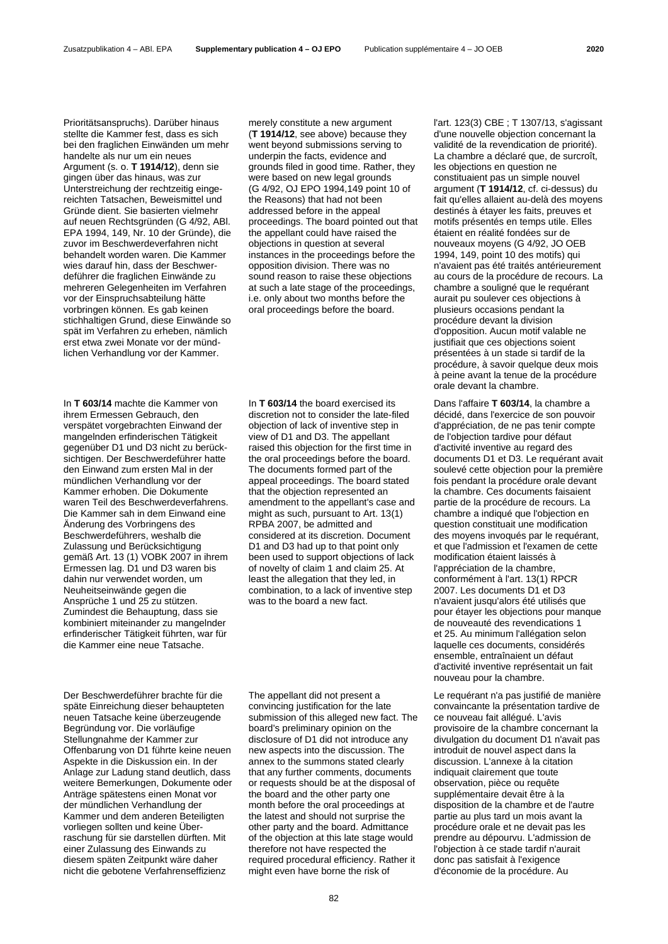Prioritätsanspruchs). Darüber hinaus stellte die Kammer fest, dass es sich bei den fraglichen Einwänden um mehr handelte als nur um ein neues Argument (s. o. **T 1914/12**), denn sie gingen über das hinaus, was zur Unterstreichung der rechtzeitig eingereichten Tatsachen, Beweismittel und Gründe dient. Sie basierten vielmehr auf neuen Rechtsgründen (G 4/92, ABl. EPA 1994, 149, Nr. 10 der Gründe), die zuvor im Beschwerdeverfahren nicht behandelt worden waren. Die Kammer wies darauf hin, dass der Beschwerdeführer die fraglichen Einwände zu mehreren Gelegenheiten im Verfahren vor der Einspruchsabteilung hätte vorbringen können. Es gab keinen stichhaltigen Grund, diese Einwände so spät im Verfahren zu erheben, nämlich erst etwa zwei Monate vor der mündlichen Verhandlung vor der Kammer.

In **T 603/14** machte die Kammer von ihrem Ermessen Gebrauch, den verspätet vorgebrachten Einwand der mangelnden erfinderischen Tätigkeit gegenüber D1 und D3 nicht zu berücksichtigen. Der Beschwerdeführer hatte den Einwand zum ersten Mal in der mündlichen Verhandlung vor der Kammer erhoben. Die Dokumente waren Teil des Beschwerdeverfahrens. Die Kammer sah in dem Einwand eine Änderung des Vorbringens des Beschwerdeführers, weshalb die Zulassung und Berücksichtigung gemäß Art. 13 (1) VOBK 2007 in ihrem Ermessen lag. D1 und D3 waren bis dahin nur verwendet worden, um Neuheitseinwände gegen die Ansprüche 1 und 25 zu stützen. Zumindest die Behauptung, dass sie kombiniert miteinander zu mangelnder erfinderischer Tätigkeit führten, war für die Kammer eine neue Tatsache.

Der Beschwerdeführer brachte für die späte Einreichung dieser behaupteten neuen Tatsache keine überzeugende Begründung vor. Die vorläufige Stellungnahme der Kammer zur Offenbarung von D1 führte keine neuen Aspekte in die Diskussion ein. In der Anlage zur Ladung stand deutlich, dass weitere Bemerkungen, Dokumente oder Anträge spätestens einen Monat vor der mündlichen Verhandlung der Kammer und dem anderen Beteiligten vorliegen sollten und keine Überraschung für sie darstellen dürften. Mit einer Zulassung des Einwands zu diesem späten Zeitpunkt wäre daher nicht die gebotene Verfahrenseffizienz

merely constitute a new argument (**T 1914/12**, see above) because they went beyond submissions serving to underpin the facts, evidence and grounds filed in good time. Rather, they were based on new legal grounds (G 4/92, OJ EPO 1994,149 point 10 of the Reasons) that had not been addressed before in the appeal proceedings. The board pointed out that the appellant could have raised the objections in question at several instances in the proceedings before the opposition division. There was no sound reason to raise these objections at such a late stage of the proceedings, i.e. only about two months before the oral proceedings before the board.

In **T 603/14** the board exercised its discretion not to consider the late-filed objection of lack of inventive step in view of D1 and D3. The appellant raised this objection for the first time in the oral proceedings before the board. The documents formed part of the appeal proceedings. The board stated that the objection represented an amendment to the appellant's case and might as such, pursuant to Art. 13(1) RPBA 2007, be admitted and considered at its discretion. Document D1 and D3 had up to that point only been used to support objections of lack of novelty of claim 1 and claim 25. At least the allegation that they led, in combination, to a lack of inventive step was to the board a new fact.

The appellant did not present a convincing justification for the late submission of this alleged new fact. The board's preliminary opinion on the disclosure of D1 did not introduce any new aspects into the discussion. The annex to the summons stated clearly that any further comments, documents or requests should be at the disposal of the board and the other party one month before the oral proceedings at the latest and should not surprise the other party and the board. Admittance of the objection at this late stage would therefore not have respected the required procedural efficiency. Rather it might even have borne the risk of

l'art. 123(3) CBE ; T 1307/13, s'agissant d'une nouvelle objection concernant la validité de la revendication de priorité). La chambre a déclaré que, de surcroît, les objections en question ne constituaient pas un simple nouvel argument (**T 1914/12**, cf. ci-dessus) du fait qu'elles allaient au-delà des moyens destinés à étayer les faits, preuves et motifs présentés en temps utile. Elles étaient en réalité fondées sur de nouveaux moyens (G 4/92, JO OEB 1994, 149, point 10 des motifs) qui n'avaient pas été traités antérieurement au cours de la procédure de recours. La chambre a souligné que le requérant aurait pu soulever ces objections à plusieurs occasions pendant la procédure devant la division d'opposition. Aucun motif valable ne justifiait que ces objections soient présentées à un stade si tardif de la procédure, à savoir quelque deux mois à peine avant la tenue de la procédure orale devant la chambre.

Dans l'affaire **T 603/14**, la chambre a décidé, dans l'exercice de son pouvoir d'appréciation, de ne pas tenir compte de l'objection tardive pour défaut d'activité inventive au regard des documents D1 et D3. Le requérant avait soulevé cette objection pour la première fois pendant la procédure orale devant la chambre. Ces documents faisaient partie de la procédure de recours. La chambre a indiqué que l'objection en question constituait une modification des movens invoqués par le requérant. et que l'admission et l'examen de cette modification étaient laissés à l'appréciation de la chambre, conformément à l'art. 13(1) RPCR 2007. Les documents D1 et D3 n'avaient jusqu'alors été utilisés que pour étayer les objections pour manque de nouveauté des revendications 1 et 25. Au minimum l'allégation selon laquelle ces documents, considérés ensemble, entraînaient un défaut d'activité inventive représentait un fait nouveau pour la chambre.

Le requérant n'a pas justifié de manière convaincante la présentation tardive de ce nouveau fait allégué. L'avis provisoire de la chambre concernant la divulgation du document D1 n'avait pas introduit de nouvel aspect dans la discussion. L'annexe à la citation indiquait clairement que toute observation, pièce ou requête supplémentaire devait être à la disposition de la chambre et de l'autre partie au plus tard un mois avant la procédure orale et ne devait pas les prendre au dépourvu. L'admission de l'objection à ce stade tardif n'aurait donc pas satisfait à l'exigence d'économie de la procédure. Au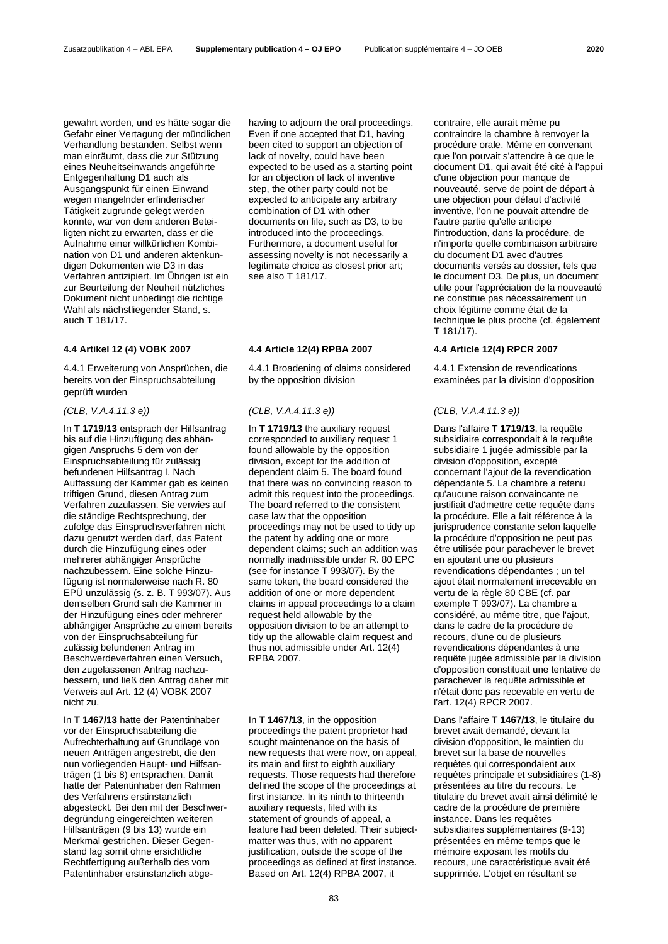gewahrt worden, und es hätte sogar die Gefahr einer Vertagung der mündlichen Verhandlung bestanden. Selbst wenn man einräumt, dass die zur Stützung eines Neuheitseinwands angeführte Entgegenhaltung D1 auch als Ausgangspunkt für einen Einwand wegen mangelnder erfinderischer Tätigkeit zugrunde gelegt werden konnte, war von dem anderen Beteiligten nicht zu erwarten, dass er die Aufnahme einer willkürlichen Kombination von D1 und anderen aktenkundigen Dokumenten wie D3 in das Verfahren antizipiert. Im Übrigen ist ein zur Beurteilung der Neuheit nützliches Dokument nicht unbedingt die richtige Wahl als nächstliegender Stand, s. auch T 181/17.

4.4.1 Erweiterung von Ansprüchen, die bereits von der Einspruchsabteilung geprüft wurden

# *(CLB, V.A.4.11.3 e)) (CLB, V.A.4.11.3 e)) (CLB, V.A.4.11.3 e))*

In **T 1719/13** entsprach der Hilfsantrag bis auf die Hinzufügung des abhängigen Anspruchs 5 dem von der Einspruchsabteilung für zulässig befundenen Hilfsantrag I. Nach Auffassung der Kammer gab es keinen triftigen Grund, diesen Antrag zum Verfahren zuzulassen. Sie verwies auf die ständige Rechtsprechung, der zufolge das Einspruchsverfahren nicht dazu genutzt werden darf, das Patent durch die Hinzufügung eines oder mehrerer abhängiger Ansprüche nachzubessern. Eine solche Hinzufügung ist normalerweise nach R. 80 EPÜ unzulässig (s. z. B. T 993/07). Aus demselben Grund sah die Kammer in der Hinzufügung eines oder mehrerer abhängiger Ansprüche zu einem bereits von der Einspruchsabteilung für zulässig befundenen Antrag im Beschwerdeverfahren einen Versuch, den zugelassenen Antrag nachzubessern, und ließ den Antrag daher mit Verweis auf Art. 12 (4) VOBK 2007 nicht zu.

In **T 1467/13** hatte der Patentinhaber vor der Einspruchsabteilung die Aufrechterhaltung auf Grundlage von neuen Anträgen angestrebt, die den nun vorliegenden Haupt- und Hilfsanträgen (1 bis 8) entsprachen. Damit hatte der Patentinhaber den Rahmen des Verfahrens erstinstanzlich abgesteckt. Bei den mit der Beschwerdegründung eingereichten weiteren Hilfsanträgen (9 bis 13) wurde ein Merkmal gestrichen. Dieser Gegenstand lag somit ohne ersichtliche Rechtfertigung außerhalb des vom Patentinhaber erstinstanzlich abgehaving to adjourn the oral proceedings. Even if one accepted that D1, having been cited to support an objection of lack of novelty, could have been expected to be used as a starting point for an objection of lack of inventive step, the other party could not be expected to anticipate any arbitrary combination of D1 with other documents on file, such as D3, to be introduced into the proceedings. Furthermore, a document useful for assessing novelty is not necessarily a legitimate choice as closest prior art; see also T 181/17.

4.4.1 Broadening of claims considered by the opposition division

In **T 1719/13** the auxiliary request corresponded to auxiliary request 1 found allowable by the opposition division, except for the addition of dependent claim 5. The board found that there was no convincing reason to admit this request into the proceedings. The board referred to the consistent case law that the opposition proceedings may not be used to tidy up the patent by adding one or more dependent claims; such an addition was normally inadmissible under R. 80 EPC (see for instance T 993/07). By the same token, the board considered the addition of one or more dependent claims in appeal proceedings to a claim request held allowable by the opposition division to be an attempt to tidy up the allowable claim request and thus not admissible under Art. 12(4) RPBA 2007.

In **T 1467/13**, in the opposition proceedings the patent proprietor had sought maintenance on the basis of new requests that were now, on appeal, its main and first to eighth auxiliary requests. Those requests had therefore defined the scope of the proceedings at first instance. In its ninth to thirteenth auxiliary requests, filed with its statement of grounds of appeal, a feature had been deleted. Their subjectmatter was thus, with no apparent justification, outside the scope of the proceedings as defined at first instance. Based on Art. 12(4) RPBA 2007, it

contraire, elle aurait même pu contraindre la chambre à renvoyer la procédure orale. Même en convenant que l'on pouvait s'attendre à ce que le document D1, qui avait été cité à l'appui d'une objection pour manque de nouveauté, serve de point de départ à une objection pour défaut d'activité inventive, l'on ne pouvait attendre de l'autre partie qu'elle anticipe l'introduction, dans la procédure, de n'importe quelle combinaison arbitraire du document D1 avec d'autres documents versés au dossier, tels que le document D3. De plus, un document utile pour l'appréciation de la nouveauté ne constitue pas nécessairement un choix légitime comme état de la technique le plus proche (cf. également T 181/17).

# **4.4 Artikel 12 (4) VOBK 2007 4.4 Article 12(4) RPBA 2007 4.4 Article 12(4) RPCR 2007**

4.4.1 Extension de revendications examinées par la division d'opposition

Dans l'affaire **T 1719/13**, la requête subsidiaire correspondait à la requête subsidiaire 1 jugée admissible par la division d'opposition, excepté concernant l'ajout de la revendication dépendante 5. La chambre a retenu qu'aucune raison convaincante ne justifiait d'admettre cette requête dans la procédure. Elle a fait référence à la jurisprudence constante selon laquelle la procédure d'opposition ne peut pas être utilisée pour parachever le brevet en ajoutant une ou plusieurs revendications dépendantes ; un tel ajout était normalement irrecevable en vertu de la règle 80 CBE (cf. par exemple T 993/07). La chambre a considéré, au même titre, que l'ajout, dans le cadre de la procédure de recours, d'une ou de plusieurs revendications dépendantes à une requête jugée admissible par la division d'opposition constituait une tentative de parachever la requête admissible et n'était donc pas recevable en vertu de l'art. 12(4) RPCR 2007.

Dans l'affaire **T 1467/13**, le titulaire du brevet avait demandé, devant la division d'opposition, le maintien du brevet sur la base de nouvelles requêtes qui correspondaient aux requêtes principale et subsidiaires (1-8) présentées au titre du recours. Le titulaire du brevet avait ainsi délimité le cadre de la procédure de première instance. Dans les requêtes subsidiaires supplémentaires (9-13) présentées en même temps que le mémoire exposant les motifs du recours, une caractéristique avait été supprimée. L'objet en résultant se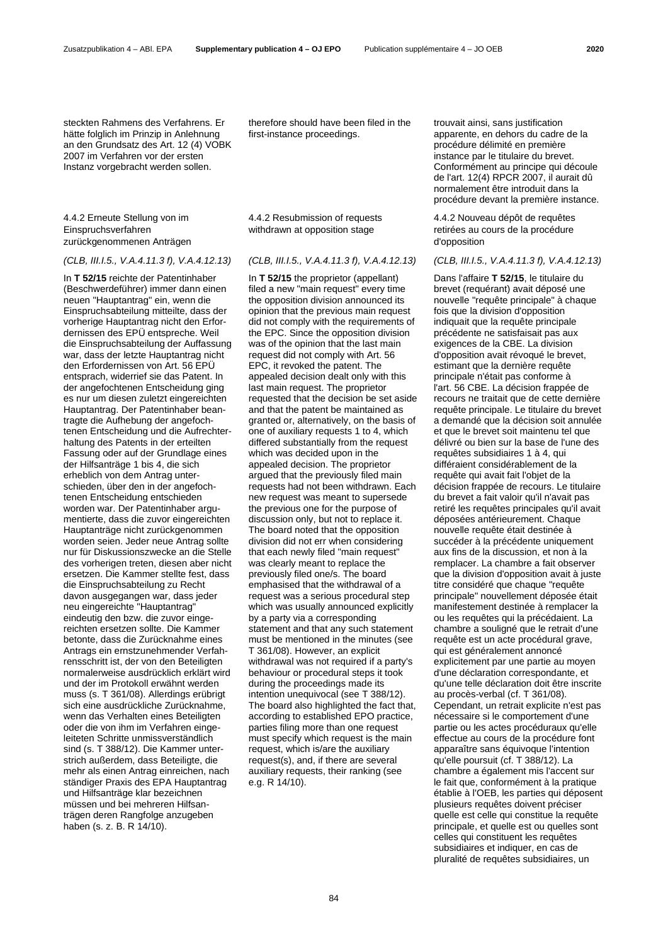steckten Rahmens des Verfahrens. Er hätte folglich im Prinzip in Anlehnung an den Grundsatz des Art. 12 (4) VOBK 2007 im Verfahren vor der ersten Instanz vorgebracht werden sollen.

4.4.2 Erneute Stellung von im Einspruchsverfahren zurückgenommenen Anträgen

In **T 52/15** reichte der Patentinhaber (Beschwerdeführer) immer dann einen neuen "Hauptantrag" ein, wenn die Einspruchsabteilung mitteilte, dass der vorherige Hauptantrag nicht den Erfordernissen des EPÜ entspreche. Weil die Einspruchsabteilung der Auffassung war, dass der letzte Hauptantrag nicht den Erfordernissen von Art. 56 EPÜ entsprach, widerrief sie das Patent. In der angefochtenen Entscheidung ging es nur um diesen zuletzt eingereichten Hauptantrag. Der Patentinhaber beantragte die Aufhebung der angefochtenen Entscheidung und die Aufrechterhaltung des Patents in der erteilten Fassung oder auf der Grundlage eines der Hilfsanträge 1 bis 4, die sich erheblich von dem Antrag unterschieden, über den in der angefochtenen Entscheidung entschieden worden war. Der Patentinhaber argumentierte, dass die zuvor eingereichten Hauptanträge nicht zurückgenommen worden seien. Jeder neue Antrag sollte nur für Diskussionszwecke an die Stelle des vorherigen treten, diesen aber nicht ersetzen. Die Kammer stellte fest, dass die Einspruchsabteilung zu Recht davon ausgegangen war, dass jeder neu eingereichte "Hauptantrag" eindeutig den bzw. die zuvor eingereichten ersetzen sollte. Die Kammer betonte, dass die Zurücknahme eines Antrags ein ernstzunehmender Verfahrensschritt ist, der von den Beteiligten normalerweise ausdrücklich erklärt wird und der im Protokoll erwähnt werden muss (s. T 361/08). Allerdings erübrigt sich eine ausdrückliche Zurücknahme, wenn das Verhalten eines Beteiligten oder die von ihm im Verfahren eingeleiteten Schritte unmissverständlich sind (s. T 388/12). Die Kammer unterstrich außerdem, dass Beteiligte, die mehr als einen Antrag einreichen, nach ständiger Praxis des EPA Hauptantrag und Hilfsanträge klar bezeichnen müssen und bei mehreren Hilfsanträgen deren Rangfolge anzugeben haben (s. z. B. R 14/10).

therefore should have been filed in the first-instance proceedings.

4.4.2 Resubmission of requests withdrawn at opposition stage

In **T 52/15** the proprietor (appellant) filed a new "main request" every time the opposition division announced its opinion that the previous main request did not comply with the requirements of the EPC. Since the opposition division was of the opinion that the last main request did not comply with Art. 56 EPC, it revoked the patent. The appealed decision dealt only with this last main request. The proprietor requested that the decision be set aside and that the patent be maintained as granted or, alternatively, on the basis of one of auxiliary requests 1 to 4, which differed substantially from the request which was decided upon in the appealed decision. The proprietor argued that the previously filed main requests had not been withdrawn. Each new request was meant to supersede the previous one for the purpose of discussion only, but not to replace it. The board noted that the opposition division did not err when considering that each newly filed "main request" was clearly meant to replace the previously filed one/s. The board emphasised that the withdrawal of a request was a serious procedural step which was usually announced explicitly by a party via a corresponding statement and that any such statement must be mentioned in the minutes (see T 361/08). However, an explicit withdrawal was not required if a party's behaviour or procedural steps it took during the proceedings made its intention unequivocal (see T 388/12). The board also highlighted the fact that, according to established EPO practice, parties filing more than one request must specify which request is the main request, which is/are the auxiliary request(s), and, if there are several auxiliary requests, their ranking (see e.g. R 14/10).

trouvait ainsi, sans justification apparente, en dehors du cadre de la procédure délimité en première instance par le titulaire du brevet. Conformément au principe qui découle de l'art. 12(4) RPCR 2007, il aurait dû normalement être introduit dans la procédure devant la première instance.

4.4.2 Nouveau dépôt de requêtes retirées au cours de la procédure d'opposition

### *(CLB, III.I.5., V.A.4.11.3 f), V.A.4.12.13) (CLB, III.I.5., V.A.4.11.3 f), V.A.4.12.13) (CLB, III.I.5., V.A.4.11.3 f), V.A.4.12.13)*

Dans l'affaire **T 52/15**, le titulaire du brevet (requérant) avait déposé une nouvelle "requête principale" à chaque fois que la division d'opposition indiquait que la requête principale précédente ne satisfaisait pas aux exigences de la CBE. La division d'opposition avait révoqué le brevet, estimant que la dernière requête principale n'était pas conforme à l'art. 56 CBE. La décision frappée de recours ne traitait que de cette dernière requête principale. Le titulaire du brevet a demandé que la décision soit annulée et que le brevet soit maintenu tel que délivré ou bien sur la base de l'une des requêtes subsidiaires 1 à 4, qui différaient considérablement de la requête qui avait fait l'objet de la décision frappée de recours. Le titulaire du brevet a fait valoir qu'il n'avait pas retiré les requêtes principales qu'il avait déposées antérieurement. Chaque nouvelle requête était destinée à succéder à la précédente uniquement aux fins de la discussion, et non à la remplacer. La chambre a fait observer que la division d'opposition avait à juste titre considéré que chaque "requête principale" nouvellement déposée était manifestement destinée à remplacer la ou les requêtes qui la précédaient. La chambre a souligné que le retrait d'une requête est un acte procédural grave, qui est généralement annoncé explicitement par une partie au moyen d'une déclaration correspondante, et qu'une telle déclaration doit être inscrite au procès-verbal (cf. T 361/08). Cependant, un retrait explicite n'est pas nécessaire si le comportement d'une partie ou les actes procéduraux qu'elle effectue au cours de la procédure font apparaître sans équivoque l'intention qu'elle poursuit (cf. T 388/12). La chambre a également mis l'accent sur le fait que, conformément à la pratique établie à l'OEB, les parties qui déposent plusieurs requêtes doivent préciser quelle est celle qui constitue la requête principale, et quelle est ou quelles sont celles qui constituent les requêtes subsidiaires et indiquer, en cas de pluralité de requêtes subsidiaires, un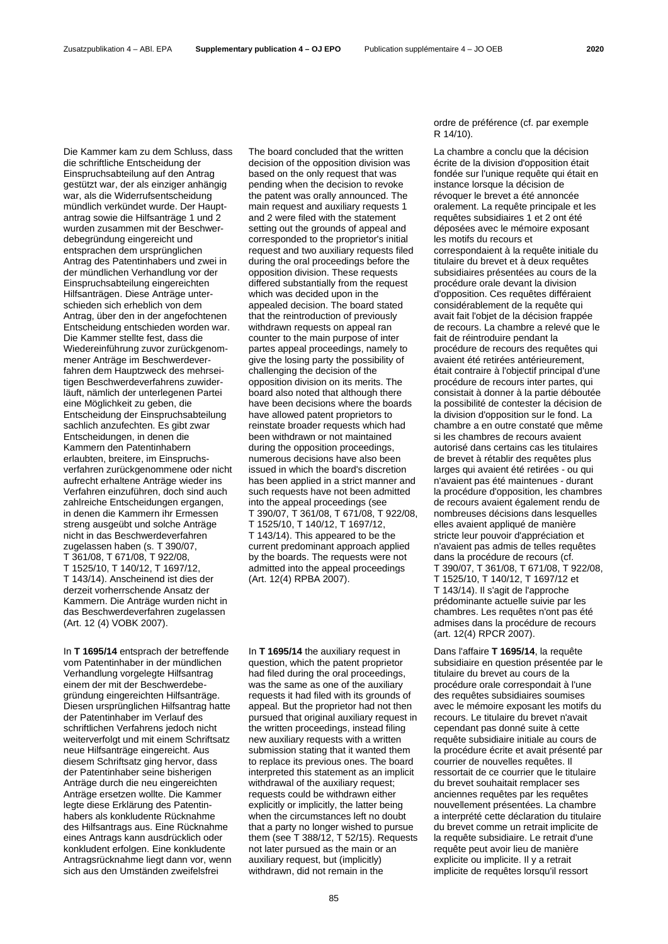Die Kammer kam zu dem Schluss, dass die schriftliche Entscheidung der Einspruchsabteilung auf den Antrag gestützt war, der als einziger anhängig war, als die Widerrufsentscheidung mündlich verkündet wurde. Der Hauptantrag sowie die Hilfsanträge 1 und 2 wurden zusammen mit der Beschwerdebegründung eingereicht und entsprachen dem ursprünglichen Antrag des Patentinhabers und zwei in der mündlichen Verhandlung vor der Einspruchsabteilung eingereichten Hilfsanträgen. Diese Anträge unterschieden sich erheblich von dem Antrag, über den in der angefochtenen Entscheidung entschieden worden war. Die Kammer stellte fest, dass die Wiedereinführung zuvor zurückgenommener Anträge im Beschwerdeverfahren dem Hauptzweck des mehrseitigen Beschwerdeverfahrens zuwiderläuft, nämlich der unterlegenen Partei eine Möglichkeit zu geben, die Entscheidung der Einspruchsabteilung sachlich anzufechten. Es gibt zwar Entscheidungen, in denen die Kammern den Patentinhabern erlaubten, breitere, im Einspruchsverfahren zurückgenommene oder nicht aufrecht erhaltene Anträge wieder ins Verfahren einzuführen, doch sind auch zahlreiche Entscheidungen ergangen, in denen die Kammern ihr Ermessen streng ausgeübt und solche Anträge nicht in das Beschwerdeverfahren zugelassen haben (s. T 390/07, T 361/08, T 671/08, T 922/08, T 1525/10, T 140/12, T 1697/12, T 143/14). Anscheinend ist dies der derzeit vorherrschende Ansatz der Kammern. Die Anträge wurden nicht in das Beschwerdeverfahren zugelassen (Art. 12 (4) VOBK 2007).

In **T 1695/14** entsprach der betreffende vom Patentinhaber in der mündlichen Verhandlung vorgelegte Hilfsantrag einem der mit der Beschwerdebegründung eingereichten Hilfsanträge. Diesen ursprünglichen Hilfsantrag hatte der Patentinhaber im Verlauf des schriftlichen Verfahrens jedoch nicht weiterverfolgt und mit einem Schriftsatz neue Hilfsanträge eingereicht. Aus diesem Schriftsatz ging hervor, dass der Patentinhaber seine bisherigen Anträge durch die neu eingereichten Anträge ersetzen wollte. Die Kammer legte diese Erklärung des Patentinhabers als konkludente Rücknahme des Hilfsantrags aus. Eine Rücknahme eines Antrags kann ausdrücklich oder konkludent erfolgen. Eine konkludente Antragsrücknahme liegt dann vor, wenn sich aus den Umständen zweifelsfrei

The board concluded that the written decision of the opposition division was based on the only request that was pending when the decision to revoke the patent was orally announced. The main request and auxiliary requests 1 and 2 were filed with the statement setting out the grounds of appeal and corresponded to the proprietor's initial request and two auxiliary requests filed during the oral proceedings before the opposition division. These requests differed substantially from the request which was decided upon in the appealed decision. The board stated that the reintroduction of previously withdrawn requests on appeal ran counter to the main purpose of inter partes appeal proceedings, namely to give the losing party the possibility of challenging the decision of the opposition division on its merits. The board also noted that although there have been decisions where the boards have allowed patent proprietors to reinstate broader requests which had been withdrawn or not maintained during the opposition proceedings, numerous decisions have also been issued in which the board's discretion has been applied in a strict manner and such requests have not been admitted into the appeal proceedings (see T 390/07, T 361/08, T 671/08, T 922/08, T 1525/10, T 140/12, T 1697/12, T 143/14). This appeared to be the current predominant approach applied by the boards. The requests were not admitted into the appeal proceedings (Art. 12(4) RPBA 2007).

In **T 1695/14** the auxiliary request in question, which the patent proprietor had filed during the oral proceedings, was the same as one of the auxiliary requests it had filed with its grounds of appeal. But the proprietor had not then pursued that original auxiliary request in the written proceedings, instead filing new auxiliary requests with a written submission stating that it wanted them to replace its previous ones. The board interpreted this statement as an implicit withdrawal of the auxiliary request; requests could be withdrawn either explicitly or implicitly, the latter being when the circumstances left no doubt that a party no longer wished to pursue them (see T 388/12, T 52/15). Requests not later pursued as the main or an auxiliary request, but (implicitly) withdrawn, did not remain in the

ordre de préférence (cf. par exemple R 14/10).

La chambre a conclu que la décision écrite de la division d'opposition était fondée sur l'unique requête qui était en instance lorsque la décision de révoquer le brevet a été annoncée oralement. La requête principale et les requêtes subsidiaires 1 et 2 ont été déposées avec le mémoire exposant les motifs du recours et correspondaient à la requête initiale du titulaire du brevet et à deux requêtes subsidiaires présentées au cours de la procédure orale devant la division d'opposition. Ces requêtes différaient considérablement de la requête qui avait fait l'objet de la décision frappée de recours. La chambre a relevé que le fait de réintroduire pendant la procédure de recours des requêtes qui avaient été retirées antérieurement, était contraire à l'objectif principal d'une procédure de recours inter partes, qui consistait à donner à la partie déboutée la possibilité de contester la décision de la division d'opposition sur le fond. La chambre a en outre constaté que même si les chambres de recours avaient autorisé dans certains cas les titulaires de brevet à rétablir des requêtes plus larges qui avaient été retirées - ou qui n'avaient pas été maintenues - durant la procédure d'opposition, les chambres de recours avaient également rendu de nombreuses décisions dans lesquelles elles avaient appliqué de manière stricte leur pouvoir d'appréciation et n'avaient pas admis de telles requêtes dans la procédure de recours (cf. T 390/07, T 361/08, T 671/08, T 922/08, T 1525/10, T 140/12, T 1697/12 et T 143/14). Il s'agit de l'approche prédominante actuelle suivie par les chambres. Les requêtes n'ont pas été admises dans la procédure de recours (art. 12(4) RPCR 2007).

Dans l'affaire **T 1695/14**, la requête subsidiaire en question présentée par le titulaire du brevet au cours de la procédure orale correspondait à l'une des requêtes subsidiaires soumises avec le mémoire exposant les motifs du recours. Le titulaire du brevet n'avait cependant pas donné suite à cette requête subsidiaire initiale au cours de la procédure écrite et avait présenté par courrier de nouvelles requêtes. Il ressortait de ce courrier que le titulaire du brevet souhaitait remplacer ses anciennes requêtes par les requêtes nouvellement présentées. La chambre a interprété cette déclaration du titulaire du brevet comme un retrait implicite de la requête subsidiaire. Le retrait d'une requête peut avoir lieu de manière explicite ou implicite. Il y a retrait implicite de requêtes lorsqu'il ressort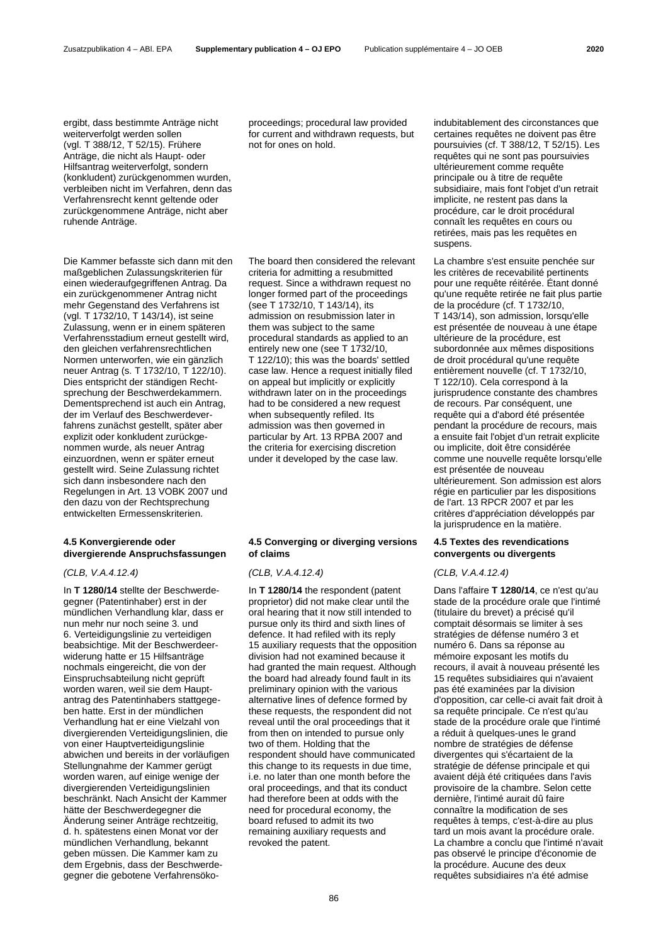ergibt, dass bestimmte Anträge nicht weiterverfolgt werden sollen (vgl. T 388/12, T 52/15). Frühere Anträge, die nicht als Haupt- oder Hilfsantrag weiterverfolgt, sondern (konkludent) zurückgenommen wurden, verbleiben nicht im Verfahren, denn das Verfahrensrecht kennt geltende oder zurückgenommene Anträge, nicht aber ruhende Anträge.

Die Kammer befasste sich dann mit den maßgeblichen Zulassungskriterien für einen wiederaufgegriffenen Antrag. Da ein zurückgenommener Antrag nicht mehr Gegenstand des Verfahrens ist (vgl. T 1732/10, T 143/14), ist seine Zulassung, wenn er in einem späteren Verfahrensstadium erneut gestellt wird, den gleichen verfahrensrechtlichen Normen unterworfen, wie ein gänzlich neuer Antrag (s. T 1732/10, T 122/10). Dies entspricht der ständigen Rechtsprechung der Beschwerdekammern. Dementsprechend ist auch ein Antrag, der im Verlauf des Beschwerdeverfahrens zunächst gestellt, später aber explizit oder konkludent zurückgenommen wurde, als neuer Antrag einzuordnen, wenn er später erneut gestellt wird. Seine Zulassung richtet sich dann insbesondere nach den Regelungen in Art. 13 VOBK 2007 und den dazu von der Rechtsprechung entwickelten Ermessenskriterien.

# **4.5 Konvergierende oder divergierende Anspruchsfassungen**

# *(CLB, V.A.4.12.4) (CLB, V.A.4.12.4) (CLB, V.A.4.12.4)*

In **T 1280/14** stellte der Beschwerdegegner (Patentinhaber) erst in der mündlichen Verhandlung klar, dass er nun mehr nur noch seine 3. und 6. Verteidigungslinie zu verteidigen beabsichtige. Mit der Beschwerdeerwiderung hatte er 15 Hilfsanträge nochmals eingereicht, die von der Einspruchsabteilung nicht geprüft worden waren, weil sie dem Hauptantrag des Patentinhabers stattgegeben hatte. Erst in der mündlichen Verhandlung hat er eine Vielzahl von divergierenden Verteidigungslinien, die von einer Hauptverteidigungslinie abwichen und bereits in der vorläufigen Stellungnahme der Kammer gerügt worden waren, auf einige wenige der divergierenden Verteidigungslinien beschränkt. Nach Ansicht der Kammer hätte der Beschwerdegegner die Änderung seiner Anträge rechtzeitig, d. h. spätestens einen Monat vor der mündlichen Verhandlung, bekannt geben müssen. Die Kammer kam zu dem Ergebnis, dass der Beschwerdegegner die gebotene Verfahrensökoproceedings; procedural law provided for current and withdrawn requests, but not for ones on hold.

The board then considered the relevant criteria for admitting a resubmitted request. Since a withdrawn request no longer formed part of the proceedings (see T 1732/10, T 143/14), its admission on resubmission later in them was subject to the same procedural standards as applied to an entirely new one (see T 1732/10, T 122/10); this was the boards' settled case law. Hence a request initially filed on appeal but implicitly or explicitly withdrawn later on in the proceedings had to be considered a new request when subsequently refiled. Its admission was then governed in particular by Art. 13 RPBA 2007 and the criteria for exercising discretion under it developed by the case law.

# **4.5 Converging or diverging versions of claims**

In **T 1280/14** the respondent (patent proprietor) did not make clear until the oral hearing that it now still intended to pursue only its third and sixth lines of defence. It had refiled with its reply 15 auxiliary requests that the opposition division had not examined because it had granted the main request. Although the board had already found fault in its preliminary opinion with the various alternative lines of defence formed by these requests, the respondent did not reveal until the oral proceedings that it from then on intended to pursue only two of them. Holding that the respondent should have communicated this change to its requests in due time, i.e. no later than one month before the oral proceedings, and that its conduct had therefore been at odds with the need for procedural economy, the board refused to admit its two remaining auxiliary requests and revoked the patent.

indubitablement des circonstances que certaines requêtes ne doivent pas être poursuivies (cf. T 388/12, T 52/15). Les requêtes qui ne sont pas poursuivies ultérieurement comme requête principale ou à titre de requête subsidiaire, mais font l'objet d'un retrait implicite, ne restent pas dans la procédure, car le droit procédural connaît les requêtes en cours ou retirées, mais pas les requêtes en suspens.

La chambre s'est ensuite penchée sur les critères de recevabilité pertinents pour une requête réitérée. Étant donné qu'une requête retirée ne fait plus partie de la procédure (cf. T 1732/10, T 143/14), son admission, lorsqu'elle est présentée de nouveau à une étape ultérieure de la procédure, est subordonnée aux mêmes dispositions de droit procédural qu'une requête entièrement nouvelle (cf. T 1732/10, T 122/10). Cela correspond à la jurisprudence constante des chambres de recours. Par conséquent, une requête qui a d'abord été présentée pendant la procédure de recours, mais a ensuite fait l'objet d'un retrait explicite ou implicite, doit être considérée comme une nouvelle requête lorsqu'elle est présentée de nouveau ultérieurement. Son admission est alors régie en particulier par les dispositions de l'art. 13 RPCR 2007 et par les critères d'appréciation développés par la jurisprudence en la matière.

# **4.5 Textes des revendications convergents ou divergents**

Dans l'affaire **T 1280/14**, ce n'est qu'au stade de la procédure orale que l'intimé (titulaire du brevet) a précisé qu'il comptait désormais se limiter à ses stratégies de défense numéro 3 et numéro 6. Dans sa réponse au mémoire exposant les motifs du recours, il avait à nouveau présenté les 15 requêtes subsidiaires qui n'avaient pas été examinées par la division d'opposition, car celle-ci avait fait droit à sa requête principale. Ce n'est qu'au stade de la procédure orale que l'intimé a réduit à quelques-unes le grand nombre de stratégies de défense divergentes qui s'écartaient de la stratégie de défense principale et qui avaient déjà été critiquées dans l'avis provisoire de la chambre. Selon cette dernière, l'intimé aurait dû faire connaître la modification de ses requêtes à temps, c'est-à-dire au plus tard un mois avant la procédure orale. La chambre a conclu que l'intimé n'avait pas observé le principe d'économie de la procédure. Aucune des deux requêtes subsidiaires n'a été admise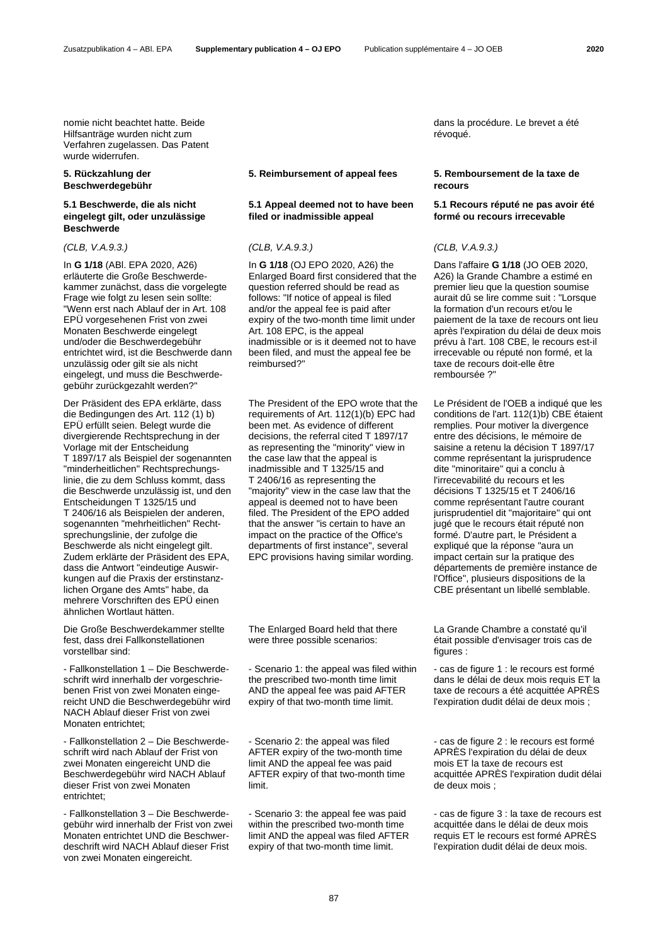Zusatzpublikation 4 – ABl. EPA **Supplementary publication 4 – OJ EPO** Publication supplémentaire 4 – JO OEB **2020**

nomie nicht beachtet hatte. Beide Hilfsanträge wurden nicht zum Verfahren zugelassen. Das Patent wurde widerrufen.

# **5. Rückzahlung der Beschwerdegebühr**

# **5.1 Beschwerde, die als nicht eingelegt gilt, oder unzulässige Beschwerde**

In **G 1/18** (ABl. EPA 2020, A26) erläuterte die Große Beschwerdekammer zunächst, dass die vorgelegte Frage wie folgt zu lesen sein sollte: "Wenn erst nach Ablauf der in Art. 108 EPÜ vorgesehenen Frist von zwei Monaten Beschwerde eingelegt und/oder die Beschwerdegebühr entrichtet wird, ist die Beschwerde dann unzulässig oder gilt sie als nicht eingelegt, und muss die Beschwerdegebühr zurückgezahlt werden?"

Der Präsident des EPA erklärte, dass die Bedingungen des Art. 112 (1) b) EPÜ erfüllt seien. Belegt wurde die divergierende Rechtsprechung in der Vorlage mit der Entscheidung T 1897/17 als Beispiel der sogenannten "minderheitlichen" Rechtsprechungslinie, die zu dem Schluss kommt, dass die Beschwerde unzulässig ist, und den Entscheidungen T 1325/15 und T 2406/16 als Beispielen der anderen, sogenannten "mehrheitlichen" Rechtsprechungslinie, der zufolge die Beschwerde als nicht eingelegt gilt. Zudem erklärte der Präsident des EPA, dass die Antwort "eindeutige Auswirkungen auf die Praxis der erstinstanzlichen Organe des Amts" habe, da mehrere Vorschriften des EPÜ einen ähnlichen Wortlaut hätten.

Die Große Beschwerdekammer stellte fest, dass drei Fallkonstellationen vorstellbar sind:

- Fallkonstellation 1 – Die Beschwerdeschrift wird innerhalb der vorgeschriebenen Frist von zwei Monaten eingereicht UND die Beschwerdegebühr wird NACH Ablauf dieser Frist von zwei Monaten entrichtet;

- Fallkonstellation 2 – Die Beschwerdeschrift wird nach Ablauf der Frist von zwei Monaten eingereicht UND die Beschwerdegebühr wird NACH Ablauf dieser Frist von zwei Monaten entrichtet;

- Fallkonstellation 3 – Die Beschwerdegebühr wird innerhalb der Frist von zwei Monaten entrichtet UND die Beschwerdeschrift wird NACH Ablauf dieser Frist von zwei Monaten eingereicht.

# **5. Reimbursement of appeal fees 5. Remboursement de la taxe de**

# **5.1 Appeal deemed not to have been filed or inadmissible appeal**

In **G 1/18** (OJ EPO 2020, A26) the Enlarged Board first considered that the question referred should be read as follows: "If notice of appeal is filed and/or the appeal fee is paid after expiry of the two-month time limit under Art. 108 EPC, is the appeal inadmissible or is it deemed not to have been filed, and must the appeal fee be reimbursed?"

The President of the EPO wrote that the requirements of Art. 112(1)(b) EPC had been met. As evidence of different decisions, the referral cited T 1897/17 as representing the "minority" view in the case law that the appeal is inadmissible and T 1325/15 and T 2406/16 as representing the "majority" view in the case law that the appeal is deemed not to have been filed. The President of the EPO added that the answer "is certain to have an impact on the practice of the Office's departments of first instance", several EPC provisions having similar wording.

The Enlarged Board held that there were three possible scenarios:

- Scenario 1: the appeal was filed within the prescribed two-month time limit AND the appeal fee was paid AFTER expiry of that two-month time limit.

- Scenario 2: the appeal was filed AFTER expiry of the two-month time limit AND the appeal fee was paid AFTER expiry of that two-month time limit.

- Scenario 3: the appeal fee was paid within the prescribed two-month time limit AND the appeal was filed AFTER expiry of that two-month time limit.

dans la procédure. Le brevet a été révoqué.

# **recours**

# **5.1 Recours réputé ne pas avoir été formé ou recours irrecevable**

*(CLB, V.A.9.3.) (CLB, V.A.9.3.) (CLB, V.A.9.3.)*

Dans l'affaire **G 1/18** (JO OEB 2020, A26) la Grande Chambre a estimé en premier lieu que la question soumise aurait dû se lire comme suit : "Lorsque la formation d'un recours et/ou le paiement de la taxe de recours ont lieu après l'expiration du délai de deux mois prévu à l'art. 108 CBE, le recours est-il irrecevable ou réputé non formé, et la taxe de recours doit-elle être remboursée ?"

Le Président de l'OEB a indiqué que les conditions de l'art. 112(1)b) CBE étaient remplies. Pour motiver la divergence entre des décisions, le mémoire de saisine a retenu la décision T 1897/17 comme représentant la jurisprudence dite "minoritaire" qui a conclu à l'irrecevabilité du recours et les décisions T 1325/15 et T 2406/16 comme représentant l'autre courant jurisprudentiel dit "majoritaire" qui ont jugé que le recours était réputé non formé. D'autre part, le Président a expliqué que la réponse "aura un impact certain sur la pratique des départements de première instance de l'Office", plusieurs dispositions de la CBE présentant un libellé semblable.

La Grande Chambre a constaté qu'il était possible d'envisager trois cas de figures :

- cas de figure 1 : le recours est formé dans le délai de deux mois requis ET la taxe de recours a été acquittée APRÈS l'expiration dudit délai de deux mois ;

- cas de figure 2 : le recours est formé APRÈS l'expiration du délai de deux mois ET la taxe de recours est acquittée APRÈS l'expiration dudit délai de deux mois ;

- cas de figure 3 : la taxe de recours est acquittée dans le délai de deux mois requis ET le recours est formé APRÈS l'expiration dudit délai de deux mois.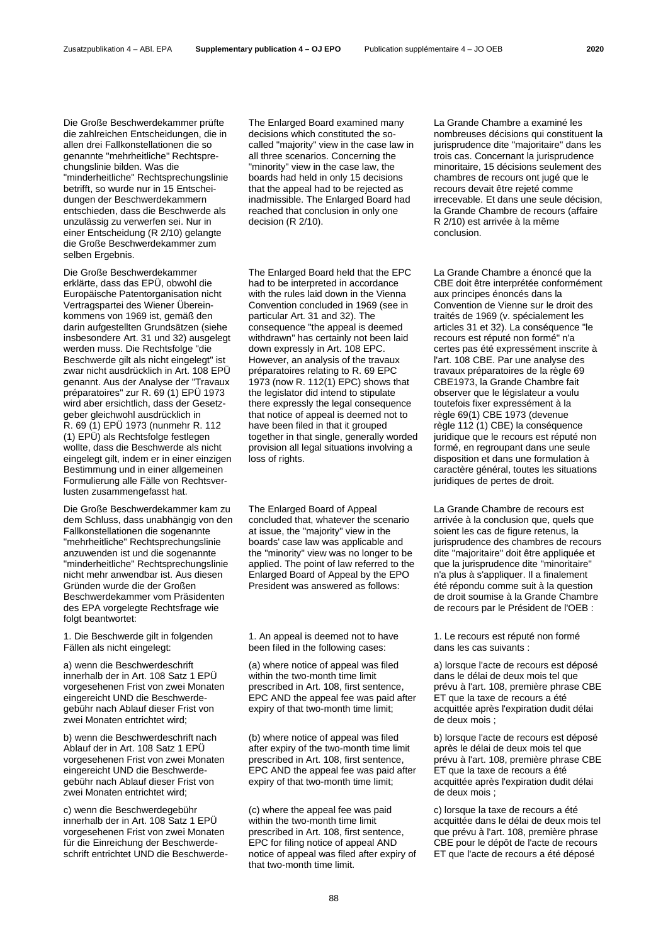Die Große Beschwerdekammer prüfte die zahlreichen Entscheidungen, die in allen drei Fallkonstellationen die so genannte "mehrheitliche" Rechtsprechungslinie bilden. Was die "minderheitliche" Rechtsprechungslinie betrifft, so wurde nur in 15 Entscheidungen der Beschwerdekammern entschieden, dass die Beschwerde als unzulässig zu verwerfen sei. Nur in einer Entscheidung (R 2/10) gelangte die Große Beschwerdekammer zum selben Ergebnis.

Die Große Beschwerdekammer erklärte, dass das EPÜ, obwohl die Europäische Patentorganisation nicht Vertragspartei des Wiener Übereinkommens von 1969 ist, gemäß den darin aufgestellten Grundsätzen (siehe insbesondere Art. 31 und 32) ausgelegt werden muss. Die Rechtsfolge "die Beschwerde gilt als nicht eingelegt" ist zwar nicht ausdrücklich in Art. 108 EPÜ genannt. Aus der Analyse der "Travaux préparatoires" zur R. 69 (1) EPÜ 1973 wird aber ersichtlich, dass der Gesetzgeber gleichwohl ausdrücklich in R. 69 (1) EPÜ 1973 (nunmehr R. 112 (1) EPÜ) als Rechtsfolge festlegen wollte, dass die Beschwerde als nicht eingelegt gilt, indem er in einer einzigen Bestimmung und in einer allgemeinen Formulierung alle Fälle von Rechtsverlusten zusammengefasst hat.

Die Große Beschwerdekammer kam zu dem Schluss, dass unabhängig von den Fallkonstellationen die sogenannte "mehrheitliche" Rechtsprechungslinie anzuwenden ist und die sogenannte "minderheitliche" Rechtsprechungslinie nicht mehr anwendbar ist. Aus diesen Gründen wurde die der Großen Beschwerdekammer vom Präsidenten des EPA vorgelegte Rechtsfrage wie folgt beantwortet:

1. Die Beschwerde gilt in folgenden Fällen als nicht eingelegt:

a) wenn die Beschwerdeschrift innerhalb der in Art. 108 Satz 1 EPÜ vorgesehenen Frist von zwei Monaten eingereicht UND die Beschwerdegebühr nach Ablauf dieser Frist von zwei Monaten entrichtet wird;

b) wenn die Beschwerdeschrift nach Ablauf der in Art. 108 Satz 1 EPÜ vorgesehenen Frist von zwei Monaten eingereicht UND die Beschwerdegebühr nach Ablauf dieser Frist von zwei Monaten entrichtet wird;

c) wenn die Beschwerdegebühr innerhalb der in Art. 108 Satz 1 EPÜ vorgesehenen Frist von zwei Monaten für die Einreichung der Beschwerdeschrift entrichtet UND die BeschwerdeThe Enlarged Board examined many decisions which constituted the socalled "majority" view in the case law in all three scenarios. Concerning the "minority" view in the case law, the boards had held in only 15 decisions that the appeal had to be rejected as inadmissible. The Enlarged Board had reached that conclusion in only one decision (R 2/10).

The Enlarged Board held that the EPC had to be interpreted in accordance with the rules laid down in the Vienna Convention concluded in 1969 (see in particular Art. 31 and 32). The consequence "the appeal is deemed withdrawn" has certainly not been laid down expressly in Art. 108 EPC. However, an analysis of the travaux préparatoires relating to R. 69 EPC 1973 (now R. 112(1) EPC) shows that the legislator did intend to stipulate there expressly the legal consequence that notice of appeal is deemed not to have been filed in that it grouped together in that single, generally worded provision all legal situations involving a loss of rights.

The Enlarged Board of Appeal concluded that, whatever the scenario at issue, the "majority" view in the boards' case law was applicable and the "minority" view was no longer to be applied. The point of law referred to the Enlarged Board of Appeal by the EPO President was answered as follows:

1. An appeal is deemed not to have been filed in the following cases:

(a) where notice of appeal was filed within the two-month time limit prescribed in Art. 108, first sentence, EPC AND the appeal fee was paid after expiry of that two-month time limit:

(b) where notice of appeal was filed after expiry of the two-month time limit prescribed in Art. 108, first sentence, EPC AND the appeal fee was paid after expiry of that two-month time limit;

(c) where the appeal fee was paid within the two-month time limit prescribed in Art. 108, first sentence, EPC for filing notice of appeal AND notice of appeal was filed after expiry of that two-month time limit.

La Grande Chambre a examiné les nombreuses décisions qui constituent la jurisprudence dite "majoritaire" dans les trois cas. Concernant la jurisprudence minoritaire, 15 décisions seulement des chambres de recours ont jugé que le recours devait être rejeté comme irrecevable. Et dans une seule décision, la Grande Chambre de recours (affaire R 2/10) est arrivée à la même conclusion.

La Grande Chambre a énoncé que la CBE doit être interprétée conformément aux principes énoncés dans la Convention de Vienne sur le droit des traités de 1969 (v. spécialement les articles 31 et 32). La conséquence "le recours est réputé non formé" n'a certes pas été expressément inscrite à l'art. 108 CBE. Par une analyse des travaux préparatoires de la règle 69 CBE1973, la Grande Chambre fait observer que le législateur a voulu toutefois fixer expressément à la règle 69(1) CBE 1973 (devenue règle 112 (1) CBE) la conséquence juridique que le recours est réputé non formé, en regroupant dans une seule disposition et dans une formulation à caractère général, toutes les situations juridiques de pertes de droit.

La Grande Chambre de recours est arrivée à la conclusion que, quels que soient les cas de figure retenus, la jurisprudence des chambres de recours dite "majoritaire" doit être appliquée et que la jurisprudence dite "minoritaire" n'a plus à s'appliquer. Il a finalement été répondu comme suit à la question de droit soumise à la Grande Chambre de recours par le Président de l'OEB :

1. Le recours est réputé non formé dans les cas suivants :

a) lorsque l'acte de recours est déposé dans le délai de deux mois tel que prévu à l'art. 108, première phrase CBE ET que la taxe de recours a été acquittée après l'expiration dudit délai de deux mois ;

b) lorsque l'acte de recours est déposé après le délai de deux mois tel que prévu à l'art. 108, première phrase CBE ET que la taxe de recours a été acquittée après l'expiration dudit délai de deux mois ;

c) lorsque la taxe de recours a été acquittée dans le délai de deux mois tel que prévu à l'art. 108, première phrase CBE pour le dépôt de l'acte de recours ET que l'acte de recours a été déposé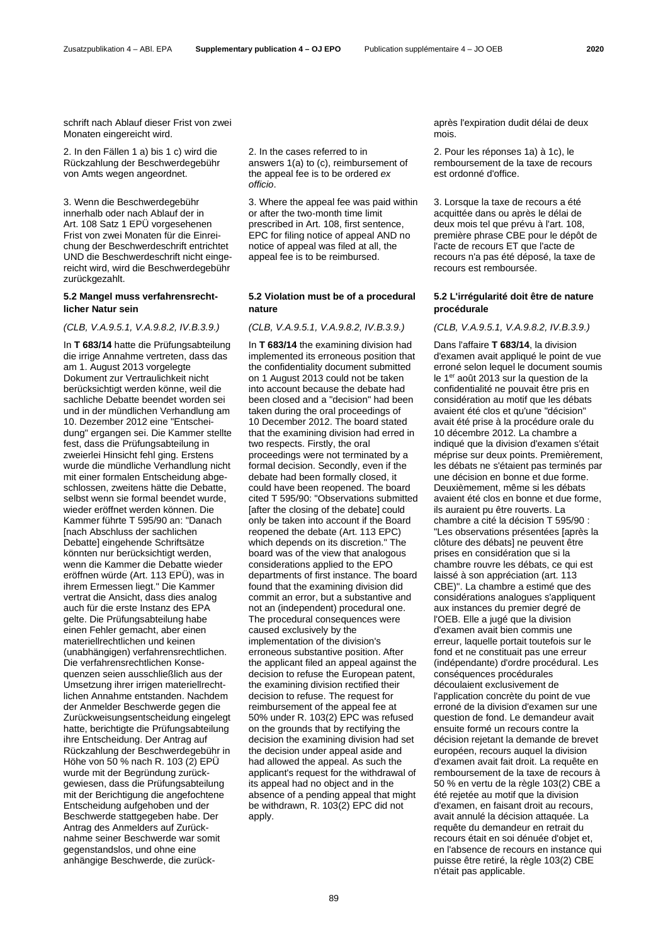schrift nach Ablauf dieser Frist von zwei Monaten eingereicht wird.

2. In den Fällen 1 a) bis 1 c) wird die Rückzahlung der Beschwerdegebühr von Amts wegen angeordnet.

3. Wenn die Beschwerdegebühr innerhalb oder nach Ablauf der in Art. 108 Satz 1 EPÜ vorgesehenen Frist von zwei Monaten für die Einreichung der Beschwerdeschrift entrichtet UND die Beschwerdeschrift nicht eingereicht wird, wird die Beschwerdegebühr zurückgezahlt.

### **5.2 Mangel muss verfahrensrechtlicher Natur sein**

In **T 683/14** hatte die Prüfungsabteilung die irrige Annahme vertreten, dass das am 1. August 2013 vorgelegte Dokument zur Vertraulichkeit nicht berücksichtigt werden könne, weil die sachliche Debatte beendet worden sei und in der mündlichen Verhandlung am 10. Dezember 2012 eine "Entscheidung" ergangen sei. Die Kammer stellte fest, dass die Prüfungsabteilung in zweierlei Hinsicht fehl ging. Erstens wurde die mündliche Verhandlung nicht mit einer formalen Entscheidung abgeschlossen, zweitens hätte die Debatte, selbst wenn sie formal beendet wurde, wieder eröffnet werden können. Die Kammer führte T 595/90 an: "Danach [nach Abschluss der sachlichen Debatte] eingehende Schriftsätze könnten nur berücksichtigt werden, wenn die Kammer die Debatte wieder eröffnen würde (Art. 113 EPÜ), was in ihrem Ermessen liegt." Die Kammer vertrat die Ansicht, dass dies analog auch für die erste Instanz des EPA gelte. Die Prüfungsabteilung habe einen Fehler gemacht, aber einen materiellrechtlichen und keinen (unabhängigen) verfahrensrechtlichen. Die verfahrensrechtlichen Konsequenzen seien ausschließlich aus der Umsetzung ihrer irrigen materiellrechtlichen Annahme entstanden. Nachdem der Anmelder Beschwerde gegen die Zurückweisungsentscheidung eingelegt hatte, berichtigte die Prüfungsabteilung ihre Entscheidung. Der Antrag auf Rückzahlung der Beschwerdegebühr in Höhe von 50 % nach R. 103 (2) EPÜ wurde mit der Begründung zurückgewiesen, dass die Prüfungsabteilung mit der Berichtigung die angefochtene Entscheidung aufgehoben und der Beschwerde stattgegeben habe. Der Antrag des Anmelders auf Zurücknahme seiner Beschwerde war somit gegenstandslos, und ohne eine anhängige Beschwerde, die zurück2. In the cases referred to in answers 1(a) to (c), reimbursement of the appeal fee is to be ordered *ex officio*.

3. Where the appeal fee was paid within or after the two-month time limit prescribed in Art. 108, first sentence, EPC for filing notice of appeal AND no notice of appeal was filed at all, the appeal fee is to be reimbursed.

### **5.2 Violation must be of a procedural nature**

In **T 683/14** the examining division had implemented its erroneous position that the confidentiality document submitted on 1 August 2013 could not be taken into account because the debate had been closed and a "decision" had been taken during the oral proceedings of 10 December 2012. The board stated that the examining division had erred in two respects. Firstly, the oral proceedings were not terminated by a formal decision. Secondly, even if the debate had been formally closed, it could have been reopened. The board cited T 595/90: "Observations submitted [after the closing of the debate] could only be taken into account if the Board reopened the debate (Art. 113 EPC) which depends on its discretion." The board was of the view that analogous considerations applied to the EPO departments of first instance. The board found that the examining division did commit an error, but a substantive and not an (independent) procedural one. The procedural consequences were caused exclusively by the implementation of the division's erroneous substantive position. After the applicant filed an appeal against the decision to refuse the European patent, the examining division rectified their decision to refuse. The request for reimbursement of the appeal fee at 50% under R. 103(2) EPC was refused on the grounds that by rectifying the decision the examining division had set the decision under appeal aside and had allowed the appeal. As such the applicant's request for the withdrawal of its appeal had no object and in the absence of a pending appeal that might be withdrawn, R. 103(2) EPC did not apply.

après l'expiration dudit délai de deux mois.

2. Pour les réponses 1a) à 1c), le remboursement de la taxe de recours est ordonné d'office.

3. Lorsque la taxe de recours a été acquittée dans ou après le délai de deux mois tel que prévu à l'art. 108, première phrase CBE pour le dépôt de l'acte de recours ET que l'acte de recours n'a pas été déposé, la taxe de recours est remboursée.

### **5.2 L'irrégularité doit être de nature procédurale**

### *(CLB, V.A.9.5.1, V.A.9.8.2, IV.B.3.9.) (CLB, V.A.9.5.1, V.A.9.8.2, IV.B.3.9.) (CLB, V.A.9.5.1, V.A.9.8.2, IV.B.3.9.)*

Dans l'affaire **T 683/14**, la division d'examen avait appliqué le point de vue erroné selon lequel le document soumis le 1<sup>er</sup> août 2013 sur la question de la confidentialité ne pouvait être pris en considération au motif que les débats avaient été clos et qu'une "décision" avait été prise à la procédure orale du 10 décembre 2012. La chambre a indiqué que la division d'examen s'était méprise sur deux points. Premièrement, les débats ne s'étaient pas terminés par une décision en bonne et due forme. Deuxièmement, même si les débats avaient été clos en bonne et due forme, ils auraient pu être rouverts. La chambre a cité la décision T 595/90 : "Les observations présentées [après la clôture des débats] ne peuvent être prises en considération que si la chambre rouvre les débats, ce qui est laissé à son appréciation (art. 113 CBE)". La chambre a estimé que des considérations analogues s'appliquent aux instances du premier degré de l'OEB. Elle a jugé que la division d'examen avait bien commis une erreur, laquelle portait toutefois sur le fond et ne constituait pas une erreur (indépendante) d'ordre procédural. Les conséquences procédurales découlaient exclusivement de l'application concrète du point de vue erroné de la division d'examen sur une question de fond. Le demandeur avait ensuite formé un recours contre la décision rejetant la demande de brevet européen, recours auquel la division d'examen avait fait droit. La requête en remboursement de la taxe de recours à 50 % en vertu de la règle 103(2) CBE a été rejetée au motif que la division d'examen, en faisant droit au recours, avait annulé la décision attaquée. La requête du demandeur en retrait du recours était en soi dénuée d'objet et, en l'absence de recours en instance qui puisse être retiré, la règle 103(2) CBE n'était pas applicable.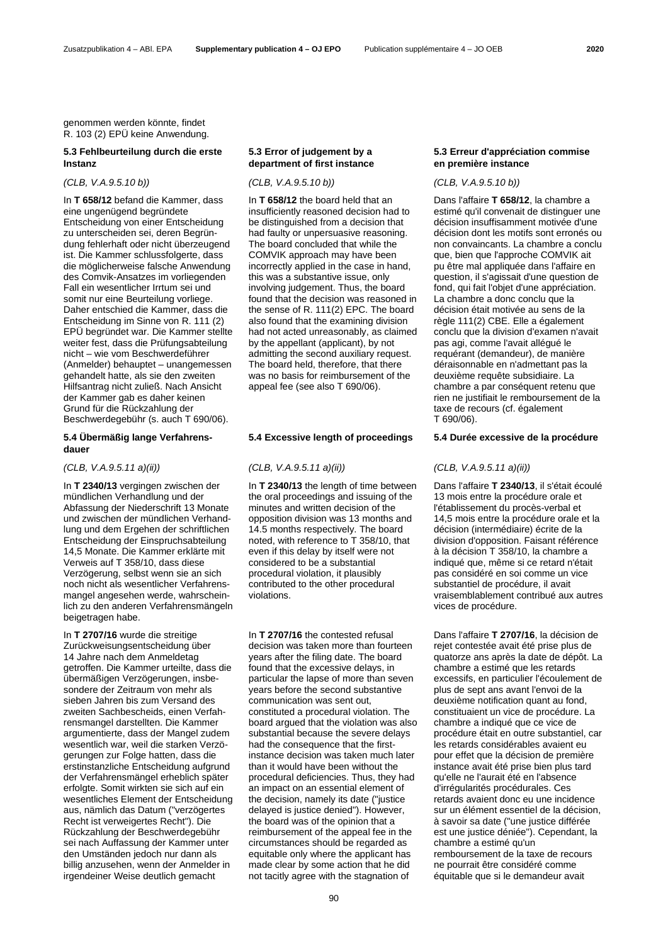genommen werden könnte, findet R. 103 (2) EPÜ keine Anwendung.

# **5.3 Fehlbeurteilung durch die erste Instanz**

In **T 658/12** befand die Kammer, dass eine ungenügend begründete Entscheidung von einer Entscheidung zu unterscheiden sei, deren Begründung fehlerhaft oder nicht überzeugend ist. Die Kammer schlussfolgerte, dass die möglicherweise falsche Anwendung des Comvik-Ansatzes im vorliegenden Fall ein wesentlicher Irrtum sei und somit nur eine Beurteilung vorliege. Daher entschied die Kammer, dass die Entscheidung im Sinne von R. 111 (2) EPÜ begründet war. Die Kammer stellte weiter fest, dass die Prüfungsabteilung nicht – wie vom Beschwerdeführer (Anmelder) behauptet – unangemessen gehandelt hatte, als sie den zweiten Hilfsantrag nicht zuließ. Nach Ansicht der Kammer gab es daher keinen Grund für die Rückzahlung der Beschwerdegebühr (s. auch T 690/06).

# **5.4 Übermäßig lange Verfahrensdauer**

In **T 2340/13** vergingen zwischen der mündlichen Verhandlung und der Abfassung der Niederschrift 13 Monate und zwischen der mündlichen Verhandlung und dem Ergehen der schriftlichen Entscheidung der Einspruchsabteilung 14,5 Monate. Die Kammer erklärte mit Verweis auf T 358/10, dass diese Verzögerung, selbst wenn sie an sich noch nicht als wesentlicher Verfahrensmangel angesehen werde, wahrscheinlich zu den anderen Verfahrensmängeln beigetragen habe.

In **T 2707/16** wurde die streitige Zurückweisungsentscheidung über 14 Jahre nach dem Anmeldetag getroffen. Die Kammer urteilte, dass die übermäßigen Verzögerungen, insbesondere der Zeitraum von mehr als sieben Jahren bis zum Versand des zweiten Sachbescheids, einen Verfahrensmangel darstellten. Die Kammer argumentierte, dass der Mangel zudem wesentlich war, weil die starken Verzögerungen zur Folge hatten, dass die erstinstanzliche Entscheidung aufgrund der Verfahrensmängel erheblich später erfolgte. Somit wirkten sie sich auf ein wesentliches Element der Entscheidung aus, nämlich das Datum ("verzögertes Recht ist verweigertes Recht"). Die Rückzahlung der Beschwerdegebühr sei nach Auffassung der Kammer unter den Umständen jedoch nur dann als billig anzusehen, wenn der Anmelder in irgendeiner Weise deutlich gemacht

# **5.3 Error of judgement by a department of first instance**

In **T 658/12** the board held that an insufficiently reasoned decision had to be distinguished from a decision that had faulty or unpersuasive reasoning. The board concluded that while the COMVIK approach may have been incorrectly applied in the case in hand, this was a substantive issue, only involving judgement. Thus, the board found that the decision was reasoned in the sense of R. 111(2) EPC. The board also found that the examining division had not acted unreasonably, as claimed by the appellant (applicant), by not admitting the second auxiliary request. The board held, therefore, that there was no basis for reimbursement of the appeal fee (see also T 690/06).

### **5.4 Excessive length of proceedings 5.4 Durée excessive de la procédure**

### *(CLB, V.A.9.5.11 a)(ii)) (CLB, V.A.9.5.11 a)(ii)) (CLB, V.A.9.5.11 a)(ii))*

In **T 2340/13** the length of time between the oral proceedings and issuing of the minutes and written decision of the opposition division was 13 months and 14.5 months respectively. The board noted, with reference to T 358/10, that even if this delay by itself were not considered to be a substantial procedural violation, it plausibly contributed to the other procedural violations.

In **T 2707/16** the contested refusal decision was taken more than fourteen years after the filing date. The board found that the excessive delays, in particular the lapse of more than seven years before the second substantive communication was sent out, constituted a procedural violation. The board argued that the violation was also substantial because the severe delays had the consequence that the firstinstance decision was taken much later than it would have been without the procedural deficiencies. Thus, they had an impact on an essential element of the decision, namely its date ("justice delayed is justice denied"). However, the board was of the opinion that a reimbursement of the appeal fee in the circumstances should be regarded as equitable only where the applicant has made clear by some action that he did not tacitly agree with the stagnation of

# **5.3 Erreur d'appréciation commise en première instance**

### *(CLB, V.A.9.5.10 b)) (CLB, V.A.9.5.10 b)) (CLB, V.A.9.5.10 b))*

Dans l'affaire **T 658/12**, la chambre a estimé qu'il convenait de distinguer une décision insuffisamment motivée d'une décision dont les motifs sont erronés ou non convaincants. La chambre a conclu que, bien que l'approche COMVIK ait pu être mal appliquée dans l'affaire en question, il s'agissait d'une question de fond, qui fait l'objet d'une appréciation. La chambre a donc conclu que la décision était motivée au sens de la règle 111(2) CBE. Elle a également conclu que la division d'examen n'avait pas agi, comme l'avait allégué le requérant (demandeur), de manière déraisonnable en n'admettant pas la deuxième requête subsidiaire. La chambre a par conséquent retenu que rien ne justifiait le remboursement de la taxe de recours (cf. également T 690/06).

Dans l'affaire **T 2340/13**, il s'était écoulé 13 mois entre la procédure orale et l'établissement du procès-verbal et 14,5 mois entre la procédure orale et la décision (intermédiaire) écrite de la division d'opposition. Faisant référence à la décision T 358/10, la chambre a indiqué que, même si ce retard n'était pas considéré en soi comme un vice substantiel de procédure, il avait vraisemblablement contribué aux autres vices de procédure.

Dans l'affaire **T 2707/16**, la décision de rejet contestée avait été prise plus de quatorze ans après la date de dépôt. La chambre a estimé que les retards excessifs, en particulier l'écoulement de plus de sept ans avant l'envoi de la deuxième notification quant au fond, constituaient un vice de procédure. La chambre a indiqué que ce vice de procédure était en outre substantiel, car les retards considérables avaient eu pour effet que la décision de première instance avait été prise bien plus tard qu'elle ne l'aurait été en l'absence d'irrégularités procédurales. Ces retards avaient donc eu une incidence sur un élément essentiel de la décision, à savoir sa date ("une justice différée est une justice déniée"). Cependant, la chambre a estimé qu'un remboursement de la taxe de recours ne pourrait être considéré comme équitable que si le demandeur avait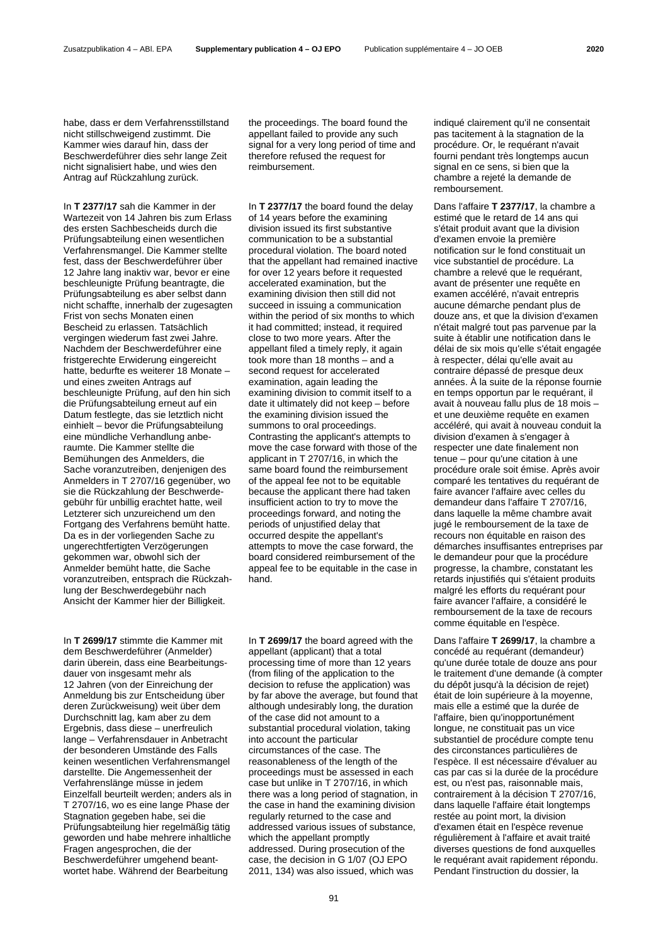habe, dass er dem Verfahrensstillstand nicht stillschweigend zustimmt. Die Kammer wies darauf hin, dass der Beschwerdeführer dies sehr lange Zeit nicht signalisiert habe, und wies den Antrag auf Rückzahlung zurück.

In **T 2377/17** sah die Kammer in der Wartezeit von 14 Jahren bis zum Erlass des ersten Sachbescheids durch die Prüfungsabteilung einen wesentlichen Verfahrensmangel. Die Kammer stellte fest, dass der Beschwerdeführer über 12 Jahre lang inaktiv war, bevor er eine beschleunigte Prüfung beantragte, die Prüfungsabteilung es aber selbst dann nicht schaffte, innerhalb der zugesagten Frist von sechs Monaten einen Bescheid zu erlassen. Tatsächlich vergingen wiederum fast zwei Jahre. Nachdem der Beschwerdeführer eine fristgerechte Erwiderung eingereicht hatte, bedurfte es weiterer 18 Monate – und eines zweiten Antrags auf beschleunigte Prüfung, auf den hin sich die Prüfungsabteilung erneut auf ein Datum festlegte, das sie letztlich nicht einhielt – bevor die Prüfungsabteilung eine mündliche Verhandlung anberaumte. Die Kammer stellte die Bemühungen des Anmelders, die Sache voranzutreiben, denjenigen des Anmelders in T 2707/16 gegenüber, wo sie die Rückzahlung der Beschwerdegebühr für unbillig erachtet hatte, weil Letzterer sich unzureichend um den Fortgang des Verfahrens bemüht hatte. Da es in der vorliegenden Sache zu ungerechtfertigten Verzögerungen gekommen war, obwohl sich der Anmelder bemüht hatte, die Sache voranzutreiben, entsprach die Rückzahlung der Beschwerdegebühr nach Ansicht der Kammer hier der Billigkeit.

In **T 2699/17** stimmte die Kammer mit dem Beschwerdeführer (Anmelder) darin überein, dass eine Bearbeitungsdauer von insgesamt mehr als 12 Jahren (von der Einreichung der Anmeldung bis zur Entscheidung über deren Zurückweisung) weit über dem Durchschnitt lag, kam aber zu dem Ergebnis, dass diese – unerfreulich lange – Verfahrensdauer in Anbetracht der besonderen Umstände des Falls keinen wesentlichen Verfahrensmangel darstellte. Die Angemessenheit der Verfahrenslänge müsse in jedem Einzelfall beurteilt werden; anders als in T 2707/16, wo es eine lange Phase der Stagnation gegeben habe, sei die Prüfungsabteilung hier regelmäßig tätig geworden und habe mehrere inhaltliche Fragen angesprochen, die der Beschwerdeführer umgehend beantwortet habe. Während der Bearbeitung

the proceedings. The board found the appellant failed to provide any such signal for a very long period of time and therefore refused the request for reimbursement.

In **T 2377/17** the board found the delay of 14 years before the examining division issued its first substantive communication to be a substantial procedural violation. The board noted that the appellant had remained inactive for over 12 years before it requested accelerated examination, but the examining division then still did not succeed in issuing a communication within the period of six months to which it had committed; instead, it required close to two more years. After the appellant filed a timely reply, it again took more than 18 months – and a second request for accelerated examination, again leading the examining division to commit itself to a date it ultimately did not keep – before the examining division issued the summons to oral proceedings. Contrasting the applicant's attempts to move the case forward with those of the applicant in T 2707/16, in which the same board found the reimbursement of the appeal fee not to be equitable because the applicant there had taken insufficient action to try to move the proceedings forward, and noting the periods of unjustified delay that occurred despite the appellant's attempts to move the case forward, the board considered reimbursement of the appeal fee to be equitable in the case in hand.

In **T 2699/17** the board agreed with the appellant (applicant) that a total processing time of more than 12 years (from filing of the application to the decision to refuse the application) was by far above the average, but found that although undesirably long, the duration of the case did not amount to a substantial procedural violation, taking into account the particular circumstances of the case. The reasonableness of the length of the proceedings must be assessed in each case but unlike in T 2707/16, in which there was a long period of stagnation, in the case in hand the examining division regularly returned to the case and addressed various issues of substance, which the appellant promptly addressed. During prosecution of the case, the decision in G 1/07 (OJ EPO 2011, 134) was also issued, which was

indiqué clairement qu'il ne consentait pas tacitement à la stagnation de la procédure. Or, le requérant n'avait fourni pendant très longtemps aucun signal en ce sens, si bien que la chambre a rejeté la demande de remboursement.

Dans l'affaire **T 2377/17**, la chambre a estimé que le retard de 14 ans qui s'était produit avant que la division d'examen envoie la première notification sur le fond constituait un vice substantiel de procédure. La chambre a relevé que le requérant, avant de présenter une requête en examen accéléré, n'avait entrepris aucune démarche pendant plus de douze ans, et que la division d'examen n'était malgré tout pas parvenue par la suite à établir une notification dans le délai de six mois qu'elle s'était engagée à respecter, délai qu'elle avait au contraire dépassé de presque deux années. À la suite de la réponse fournie en temps opportun par le requérant, il avait à nouveau fallu plus de 18 mois – et une deuxième requête en examen accéléré, qui avait à nouveau conduit la division d'examen à s'engager à respecter une date finalement non tenue – pour qu'une citation à une procédure orale soit émise. Après avoir comparé les tentatives du requérant de faire avancer l'affaire avec celles du demandeur dans l'affaire T 2707/16, dans laquelle la même chambre avait jugé le remboursement de la taxe de recours non équitable en raison des démarches insuffisantes entreprises par le demandeur pour que la procédure progresse, la chambre, constatant les retards injustifiés qui s'étaient produits malgré les efforts du requérant pour faire avancer l'affaire, a considéré le remboursement de la taxe de recours comme équitable en l'espèce.

Dans l'affaire **T 2699/17**, la chambre a concédé au requérant (demandeur) qu'une durée totale de douze ans pour le traitement d'une demande (à compter du dépôt jusqu'à la décision de rejet) était de loin supérieure à la moyenne, mais elle a estimé que la durée de l'affaire, bien qu'inopportunément longue, ne constituait pas un vice substantiel de procédure compte tenu des circonstances particulières de l'espèce. Il est nécessaire d'évaluer au cas par cas si la durée de la procédure est, ou n'est pas, raisonnable mais, contrairement à la décision T 2707/16, dans laquelle l'affaire était longtemps restée au point mort, la division d'examen était en l'espèce revenue régulièrement à l'affaire et avait traité diverses questions de fond auxquelles le requérant avait rapidement répondu. Pendant l'instruction du dossier, la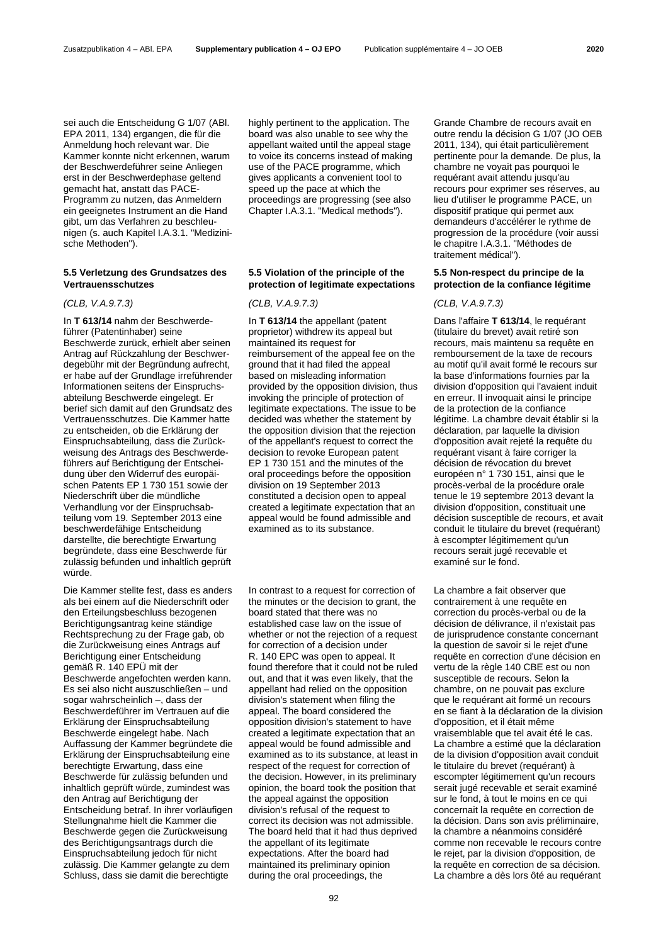sei auch die Entscheidung G 1/07 (ABl. EPA 2011, 134) ergangen, die für die Anmeldung hoch relevant war. Die Kammer konnte nicht erkennen, warum der Beschwerdeführer seine Anliegen erst in der Beschwerdephase geltend gemacht hat, anstatt das PACE-Programm zu nutzen, das Anmeldern ein geeignetes Instrument an die Hand gibt, um das Verfahren zu beschleunigen (s. auch Kapitel I.A.3.1. "Medizinische Methoden").

### **5.5 Verletzung des Grundsatzes des Vertrauensschutzes**

In **T 613/14** nahm der Beschwerdeführer (Patentinhaber) seine Beschwerde zurück, erhielt aber seinen Antrag auf Rückzahlung der Beschwerdegebühr mit der Begründung aufrecht, er habe auf der Grundlage irreführender Informationen seitens der Einspruchsabteilung Beschwerde eingelegt. Er berief sich damit auf den Grundsatz des Vertrauensschutzes. Die Kammer hatte zu entscheiden, ob die Erklärung der Einspruchsabteilung, dass die Zurückweisung des Antrags des Beschwerdeführers auf Berichtigung der Entscheidung über den Widerruf des europäischen Patents EP 1 730 151 sowie der Niederschrift über die mündliche Verhandlung vor der Einspruchsabteilung vom 19. September 2013 eine beschwerdefähige Entscheidung darstellte, die berechtigte Erwartung begründete, dass eine Beschwerde für zulässig befunden und inhaltlich geprüft würde.

Die Kammer stellte fest, dass es anders als bei einem auf die Niederschrift oder den Erteilungsbeschluss bezogenen Berichtigungsantrag keine ständige Rechtsprechung zu der Frage gab, ob die Zurückweisung eines Antrags auf Berichtigung einer Entscheidung gemäß R. 140 EPÜ mit der Beschwerde angefochten werden kann. Es sei also nicht auszuschließen – und sogar wahrscheinlich –, dass der Beschwerdeführer im Vertrauen auf die Erklärung der Einspruchsabteilung Beschwerde eingelegt habe. Nach Auffassung der Kammer begründete die Erklärung der Einspruchsabteilung eine berechtigte Erwartung, dass eine Beschwerde für zulässig befunden und inhaltlich geprüft würde, zumindest was den Antrag auf Berichtigung der Entscheidung betraf. In ihrer vorläufigen Stellungnahme hielt die Kammer die Beschwerde gegen die Zurückweisung des Berichtigungsantrags durch die Einspruchsabteilung jedoch für nicht zulässig. Die Kammer gelangte zu dem Schluss, dass sie damit die berechtigte

highly pertinent to the application. The board was also unable to see why the appellant waited until the appeal stage to voice its concerns instead of making use of the PACE programme, which gives applicants a convenient tool to speed up the pace at which the proceedings are progressing (see also Chapter I.A.3.1. "Medical methods").

### **5.5 Violation of the principle of the protection of legitimate expectations**

*(CLB, V.A.9.7.3) (CLB, V.A.9.7.3) (CLB, V.A.9.7.3)*

In **T 613/14** the appellant (patent proprietor) withdrew its appeal but maintained its request for reimbursement of the appeal fee on the ground that it had filed the appeal based on misleading information provided by the opposition division, thus invoking the principle of protection of legitimate expectations. The issue to be decided was whether the statement by the opposition division that the rejection of the appellant's request to correct the decision to revoke European patent EP 1 730 151 and the minutes of the oral proceedings before the opposition division on 19 September 2013 constituted a decision open to appeal created a legitimate expectation that an appeal would be found admissible and examined as to its substance.

In contrast to a request for correction of the minutes or the decision to grant, the board stated that there was no established case law on the issue of whether or not the rejection of a request for correction of a decision under R. 140 EPC was open to appeal. It found therefore that it could not be ruled out, and that it was even likely, that the appellant had relied on the opposition division's statement when filing the appeal. The board considered the opposition division's statement to have created a legitimate expectation that an appeal would be found admissible and examined as to its substance, at least in respect of the request for correction of the decision. However, in its preliminary opinion, the board took the position that the appeal against the opposition division's refusal of the request to correct its decision was not admissible. The board held that it had thus deprived the appellant of its legitimate expectations. After the board had maintained its preliminary opinion during the oral proceedings, the

Grande Chambre de recours avait en outre rendu la décision G 1/07 (JO OEB 2011, 134), qui était particulièrement pertinente pour la demande. De plus, la chambre ne voyait pas pourquoi le requérant avait attendu jusqu'au recours pour exprimer ses réserves, au lieu d'utiliser le programme PACE, un dispositif pratique qui permet aux demandeurs d'accélérer le rythme de progression de la procédure (voir aussi le chapitre I.A.3.1. "Méthodes de traitement médical").

### **5.5 Non-respect du principe de la protection de la confiance légitime**

Dans l'affaire **T 613/14**, le requérant (titulaire du brevet) avait retiré son recours, mais maintenu sa requête en remboursement de la taxe de recours au motif qu'il avait formé le recours sur la base d'informations fournies par la division d'opposition qui l'avaient induit en erreur. Il invoquait ainsi le principe de la protection de la confiance légitime. La chambre devait établir si la déclaration, par laquelle la division d'opposition avait rejeté la requête du requérant visant à faire corriger la décision de révocation du brevet européen n° 1 730 151, ainsi que le procès-verbal de la procédure orale tenue le 19 septembre 2013 devant la division d'opposition, constituait une décision susceptible de recours, et avait conduit le titulaire du brevet (requérant) à escompter légitimement qu'un recours serait jugé recevable et examiné sur le fond.

La chambre a fait observer que contrairement à une requête en correction du procès-verbal ou de la décision de délivrance, il n'existait pas de jurisprudence constante concernant la question de savoir si le rejet d'une requête en correction d'une décision en vertu de la règle 140 CBE est ou non susceptible de recours. Selon la chambre, on ne pouvait pas exclure que le requérant ait formé un recours en se fiant à la déclaration de la division d'opposition, et il était même vraisemblable que tel avait été le cas. La chambre a estimé que la déclaration de la division d'opposition avait conduit le titulaire du brevet (requérant) à escompter légitimement qu'un recours serait jugé recevable et serait examiné sur le fond, à tout le moins en ce qui concernait la requête en correction de la décision. Dans son avis préliminaire, la chambre a néanmoins considéré comme non recevable le recours contre le rejet, par la division d'opposition, de la requête en correction de sa décision. La chambre a dès lors ôté au requérant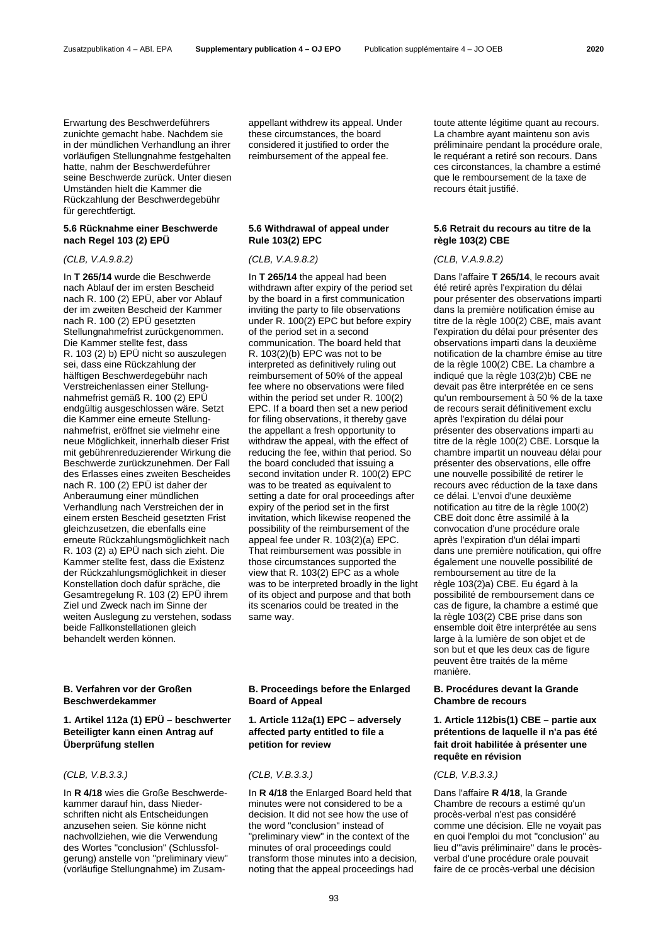Erwartung des Beschwerdeführers zunichte gemacht habe. Nachdem sie in der mündlichen Verhandlung an ihrer vorläufigen Stellungnahme festgehalten hatte, nahm der Beschwerdeführer seine Beschwerde zurück. Unter diesen Umständen hielt die Kammer die Rückzahlung der Beschwerdegebühr für gerechtfertigt.

# **5.6 Rücknahme einer Beschwerde nach Regel 103 (2) EPÜ**

In **T 265/14** wurde die Beschwerde nach Ablauf der im ersten Bescheid nach R. 100 (2) EPÜ, aber vor Ablauf der im zweiten Bescheid der Kammer nach R. 100 (2) EPÜ gesetzten Stellungnahmefrist zurückgenommen. Die Kammer stellte fest, dass R. 103 (2) b) EPÜ nicht so auszulegen sei, dass eine Rückzahlung der hälftigen Beschwerdegebühr nach Verstreichenlassen einer Stellungnahmefrist gemäß R. 100 (2) EPÜ endgültig ausgeschlossen wäre. Setzt die Kammer eine erneute Stellungnahmefrist, eröffnet sie vielmehr eine neue Möglichkeit, innerhalb dieser Frist mit gebührenreduzierender Wirkung die Beschwerde zurückzunehmen. Der Fall des Erlasses eines zweiten Bescheides nach R. 100 (2) EPÜ ist daher der Anberaumung einer mündlichen Verhandlung nach Verstreichen der in einem ersten Bescheid gesetzten Frist gleichzusetzen, die ebenfalls eine erneute Rückzahlungsmöglichkeit nach R. 103 (2) a) EPÜ nach sich zieht. Die Kammer stellte fest, dass die Existenz der Rückzahlungsmöglichkeit in dieser Konstellation doch dafür spräche, die Gesamtregelung R. 103 (2) EPÜ ihrem Ziel und Zweck nach im Sinne der weiten Auslegung zu verstehen, sodass beide Fallkonstellationen gleich behandelt werden können.

### **B. Verfahren vor der Großen Beschwerdekammer**

# **1. Artikel 112a (1) EPÜ – beschwerter Beteiligter kann einen Antrag auf Überprüfung stellen**

In **R 4/18** wies die Große Beschwerdekammer darauf hin, dass Niederschriften nicht als Entscheidungen anzusehen seien. Sie könne nicht nachvollziehen, wie die Verwendung des Wortes "conclusion" (Schlussfolgerung) anstelle von "preliminary view" (vorläufige Stellungnahme) im Zusam-

appellant withdrew its appeal. Under these circumstances, the board considered it justified to order the reimbursement of the appeal fee.

# **5.6 Withdrawal of appeal under Rule 103(2) EPC**

In **T 265/14** the appeal had been withdrawn after expiry of the period set by the board in a first communication inviting the party to file observations under R. 100(2) EPC but before expiry of the period set in a second communication. The board held that R. 103(2)(b) EPC was not to be interpreted as definitively ruling out reimbursement of 50% of the appeal fee where no observations were filed within the period set under R. 100(2) EPC. If a board then set a new period for filing observations, it thereby gave the appellant a fresh opportunity to withdraw the appeal, with the effect of reducing the fee, within that period. So the board concluded that issuing a second invitation under R. 100(2) EPC was to be treated as equivalent to setting a date for oral proceedings after expiry of the period set in the first invitation, which likewise reopened the possibility of the reimbursement of the appeal fee under R. 103(2)(a) EPC. That reimbursement was possible in those circumstances supported the view that R. 103(2) EPC as a whole was to be interpreted broadly in the light of its object and purpose and that both its scenarios could be treated in the same way.

### **B. Proceedings before the Enlarged Board of Appeal**

### **1. Article 112a(1) EPC – adversely affected party entitled to file a petition for review**

### *(CLB, V.B.3.3.) (CLB, V.B.3.3.) (CLB, V.B.3.3.)*

In **R 4/18** the Enlarged Board held that minutes were not considered to be a decision. It did not see how the use of the word "conclusion" instead of "preliminary view" in the context of the minutes of oral proceedings could transform those minutes into a decision, noting that the appeal proceedings had

toute attente légitime quant au recours. La chambre ayant maintenu son avis préliminaire pendant la procédure orale, le requérant a retiré son recours. Dans ces circonstances, la chambre a estimé que le remboursement de la taxe de recours était justifié.

### **5.6 Retrait du recours au titre de la règle 103(2) CBE**

# *(CLB, V.A.9.8.2) (CLB, V.A.9.8.2) (CLB, V.A.9.8.2)*

Dans l'affaire **T 265/14**, le recours avait été retiré après l'expiration du délai pour présenter des observations imparti dans la première notification émise au titre de la règle 100(2) CBE, mais avant l'expiration du délai pour présenter des observations imparti dans la deuxième notification de la chambre émise au titre de la règle 100(2) CBE. La chambre a indiqué que la règle 103(2)b) CBE ne devait pas être interprétée en ce sens qu'un remboursement à 50 % de la taxe de recours serait définitivement exclu après l'expiration du délai pour présenter des observations imparti au titre de la règle 100(2) CBE. Lorsque la chambre impartit un nouveau délai pour présenter des observations, elle offre une nouvelle possibilité de retirer le recours avec réduction de la taxe dans ce délai. L'envoi d'une deuxième notification au titre de la règle 100(2) CBE doit donc être assimilé à la convocation d'une procédure orale après l'expiration d'un délai imparti dans une première notification, qui offre également une nouvelle possibilité de remboursement au titre de la règle 103(2)a) CBE. Eu égard à la possibilité de remboursement dans ce cas de figure, la chambre a estimé que la règle 103(2) CBE prise dans son ensemble doit être interprétée au sens large à la lumière de son objet et de son but et que les deux cas de figure peuvent être traités de la même manière.

### **B. Procédures devant la Grande Chambre de recours**

# **1. Article 112bis(1) CBE – partie aux prétentions de laquelle il n'a pas été fait droit habilitée à présenter une requête en révision**

Dans l'affaire **R 4/18**, la Grande Chambre de recours a estimé qu'un procès-verbal n'est pas considéré comme une décision. Elle ne voyait pas en quoi l'emploi du mot "conclusion" au lieu d'"avis préliminaire" dans le procèsverbal d'une procédure orale pouvait faire de ce procès-verbal une décision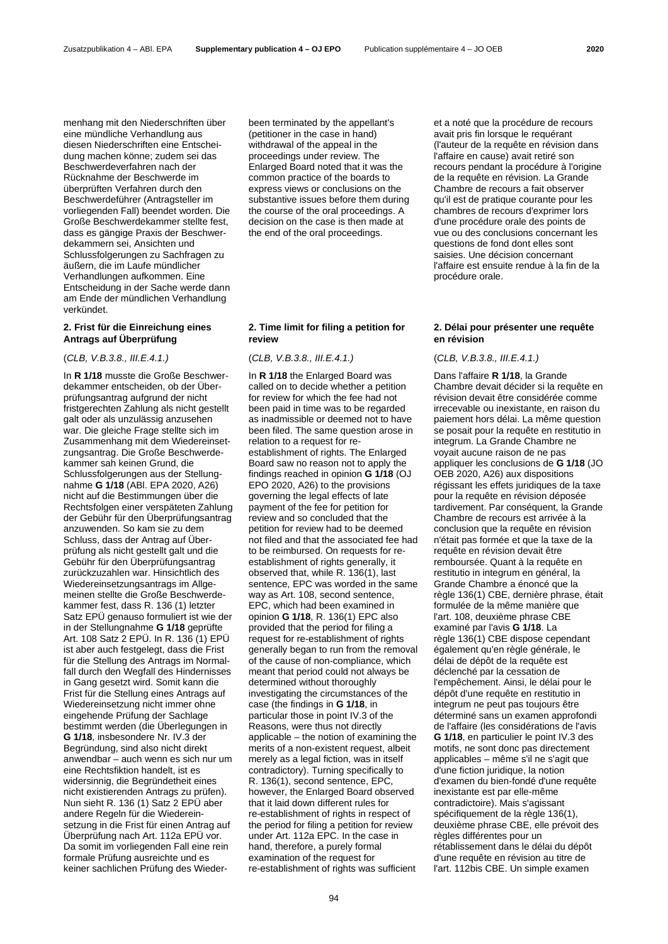menhang mit den Niederschriften über eine mündliche Verhandlung aus diesen Niederschriften eine Entscheidung machen könne; zudem sei das Beschwerdeverfahren nach der Rücknahme der Beschwerde im überprüften Verfahren durch den Beschwerdeführer (Antragsteller im vorliegenden Fall) beendet worden. Die Große Beschwerdekammer stellte fest, dass es gängige Praxis der Beschwerdekammern sei, Ansichten und Schlussfolgerungen zu Sachfragen zu äußern, die im Laufe mündlicher Verhandlungen aufkommen. Eine Entscheidung in der Sache werde dann am Ende der mündlichen Verhandlung verkündet.

# **2. Frist für die Einreichung eines Antrags auf Überprüfung**

In **R 1/18** musste die Große Beschwerdekammer entscheiden, ob der Überprüfungsantrag aufgrund der nicht fristgerechten Zahlung als nicht gestellt galt oder als unzulässig anzusehen war. Die gleiche Frage stellte sich im Zusammenhang mit dem Wiedereinsetzungsantrag. Die Große Beschwerdekammer sah keinen Grund, die Schlussfolgerungen aus der Stellungnahme **G 1/18** (ABl. EPA 2020, A26) nicht auf die Bestimmungen über die Rechtsfolgen einer verspäteten Zahlung der Gebühr für den Überprüfungsantrag anzuwenden. So kam sie zu dem Schluss, dass der Antrag auf Überprüfung als nicht gestellt galt und die Gebühr für den Überprüfungsantrag zurückzuzahlen war. Hinsichtlich des Wiedereinsetzungsantrags im Allgemeinen stellte die Große Beschwerdekammer fest, dass R. 136 (1) letzter Satz EPÜ genauso formuliert ist wie der in der Stellungnahme **G 1/18** geprüfte Art. 108 Satz 2 EPÜ. In R. 136 (1) EPÜ ist aber auch festgelegt, dass die Frist für die Stellung des Antrags im Normalfall durch den Wegfall des Hindernisses in Gang gesetzt wird. Somit kann die Frist für die Stellung eines Antrags auf Wiedereinsetzung nicht immer ohne eingehende Prüfung der Sachlage bestimmt werden (die Überlegungen in **G 1/18**, insbesondere Nr. IV.3 der Begründung, sind also nicht direkt anwendbar – auch wenn es sich nur um eine Rechtsfiktion handelt, ist es widersinnig, die Begründetheit eines nicht existierenden Antrags zu prüfen). Nun sieht R. 136 (1) Satz 2 EPÜ aber andere Regeln für die Wiedereinsetzung in die Frist für einen Antrag auf Überprüfung nach Art. 112a EPÜ vor. Da somit im vorliegenden Fall eine rein formale Prüfung ausreichte und es keiner sachlichen Prüfung des Wiederbeen terminated by the appellant's (petitioner in the case in hand) withdrawal of the appeal in the proceedings under review. The Enlarged Board noted that it was the common practice of the boards to express views or conclusions on the substantive issues before them during the course of the oral proceedings. A decision on the case is then made at the end of the oral proceedings.

# **2. Time limit for filing a petition for review**

In **R 1/18** the Enlarged Board was called on to decide whether a petition for review for which the fee had not been paid in time was to be regarded as inadmissible or deemed not to have been filed. The same question arose in relation to a request for reestablishment of rights. The Enlarged Board saw no reason not to apply the findings reached in opinion **G 1/18** (OJ EPO 2020, A26) to the provisions governing the legal effects of late payment of the fee for petition for review and so concluded that the petition for review had to be deemed not filed and that the associated fee had to be reimbursed. On requests for reestablishment of rights generally, it observed that, while R. 136(1), last sentence, EPC was worded in the same way as Art. 108, second sentence, EPC, which had been examined in opinion **G 1/18**, R. 136(1) EPC also provided that the period for filing a request for re-establishment of rights generally began to run from the removal of the cause of non-compliance, which meant that period could not always be determined without thoroughly investigating the circumstances of the case (the findings in **G 1/18**, in particular those in point IV.3 of the Reasons, were thus not directly applicable – the notion of examining the merits of a non-existent request, albeit merely as a legal fiction, was in itself contradictory). Turning specifically to R. 136(1), second sentence, EPC, however, the Enlarged Board observed that it laid down different rules for re-establishment of rights in respect of the period for filing a petition for review under Art. 112a EPC. In the case in hand, therefore, a purely formal examination of the request for re-establishment of rights was sufficient

et a noté que la procédure de recours avait pris fin lorsque le requérant (l'auteur de la requête en révision dans l'affaire en cause) avait retiré son recours pendant la procédure à l'origine de la requête en révision. La Grande Chambre de recours a fait observer qu'il est de pratique courante pour les chambres de recours d'exprimer lors d'une procédure orale des points de vue ou des conclusions concernant les questions de fond dont elles sont saisies. Une décision concernant l'affaire est ensuite rendue à la fin de la procédure orale.

# **2. Délai pour présenter une requête en révision**

# (*CLB, V.B.3.8., III.E.4.1.)* (*CLB, V.B.3.8., III.E.4.1.)* (*CLB, V.B.3.8., III.E.4.1.)*

Dans l'affaire **R 1/18**, la Grande Chambre devait décider si la requête en révision devait être considérée comme irrecevable ou inexistante, en raison du paiement hors délai. La même question se posait pour la requête en restitutio in integrum. La Grande Chambre ne voyait aucune raison de ne pas appliquer les conclusions de **G 1/18** (JO OEB 2020, A26) aux dispositions régissant les effets juridiques de la taxe pour la requête en révision déposée tardivement. Par conséquent, la Grande Chambre de recours est arrivée à la conclusion que la requête en révision n'était pas formée et que la taxe de la requête en révision devait être remboursée. Quant à la requête en restitutio in integrum en général, la Grande Chambre a énoncé que la règle 136(1) CBE, dernière phrase, était formulée de la même manière que l'art. 108, deuxième phrase CBE examiné par l'avis **G 1/18**. La règle 136(1) CBE dispose cependant également qu'en règle générale, le délai de dépôt de la requête est déclenché par la cessation de l'empêchement. Ainsi, le délai pour le dépôt d'une requête en restitutio in integrum ne peut pas toujours être déterminé sans un examen approfondi de l'affaire (les considérations de l'avis **G 1/18**, en particulier le point IV.3 des motifs, ne sont donc pas directement applicables – même s'il ne s'agit que d'une fiction juridique, la notion d'examen du bien-fondé d'une requête inexistante est par elle-même contradictoire). Mais s'agissant spécifiquement de la règle 136(1), deuxième phrase CBE, elle prévoit des règles différentes pour un rétablissement dans le délai du dépôt d'une requête en révision au titre de l'art. 112bis CBE. Un simple examen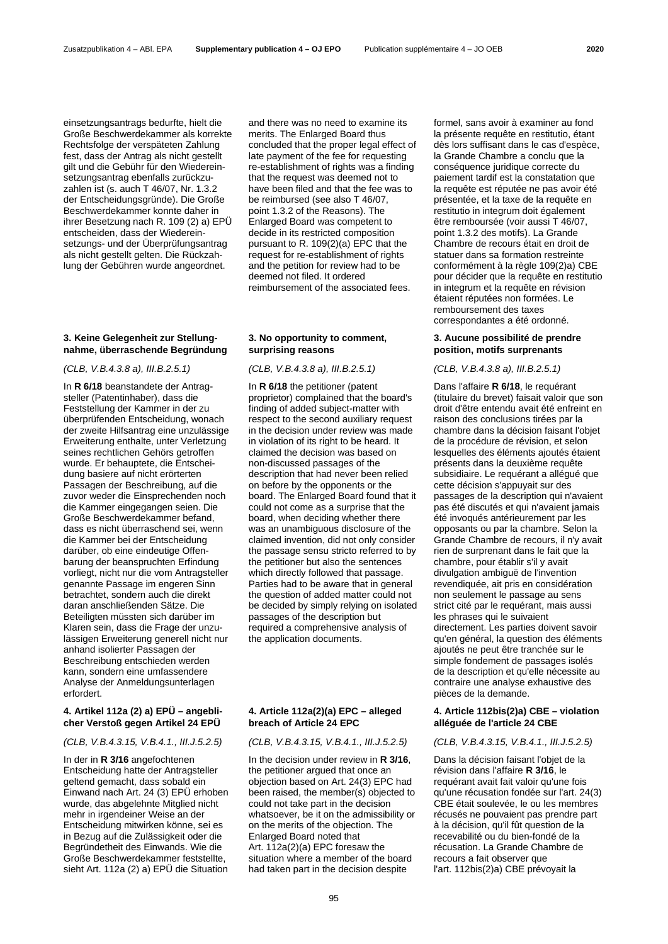einsetzungsantrags bedurfte, hielt die Große Beschwerdekammer als korrekte Rechtsfolge der verspäteten Zahlung fest, dass der Antrag als nicht gestellt gilt und die Gebühr für den Wiedereinsetzungsantrag ebenfalls zurückzuzahlen ist (s. auch T 46/07, Nr. 1.3.2 der Entscheidungsgründe). Die Große Beschwerdekammer konnte daher in ihrer Besetzung nach R. 109 (2) a) EPÜ entscheiden, dass der Wiedereinsetzungs- und der Überprüfungsantrag als nicht gestellt gelten. Die Rückzahlung der Gebühren wurde angeordnet.

# **3. Keine Gelegenheit zur Stellungnahme, überraschende Begründung**

*(CLB, V.B.4.3.8 a), III.B.2.5.1) (CLB, V.B.4.3.8 a), III.B.2.5.1) (CLB, V.B.4.3.8 a), III.B.2.5.1)*

In **R 6/18** beanstandete der Antragsteller (Patentinhaber), dass die Feststellung der Kammer in der zu überprüfenden Entscheidung, wonach der zweite Hilfsantrag eine unzulässige Erweiterung enthalte, unter Verletzung seines rechtlichen Gehörs getroffen wurde. Er behauptete, die Entscheidung basiere auf nicht erörterten Passagen der Beschreibung, auf die zuvor weder die Einsprechenden noch die Kammer eingegangen seien. Die Große Beschwerdekammer befand, dass es nicht überraschend sei, wenn die Kammer bei der Entscheidung darüber, ob eine eindeutige Offenbarung der beanspruchten Erfindung vorliegt, nicht nur die vom Antragsteller genannte Passage im engeren Sinn betrachtet, sondern auch die direkt daran anschließenden Sätze. Die Beteiligten müssten sich darüber im Klaren sein, dass die Frage der unzulässigen Erweiterung generell nicht nur anhand isolierter Passagen der Beschreibung entschieden werden kann, sondern eine umfassendere Analyse der Anmeldungsunterlagen erfordert.

# **4. Artikel 112a (2) a) EPÜ – angeblicher Verstoß gegen Artikel 24 EPÜ**

In der in **R 3/16** angefochtenen Entscheidung hatte der Antragsteller geltend gemacht, dass sobald ein Einwand nach Art. 24 (3) EPÜ erhoben wurde, das abgelehnte Mitglied nicht mehr in irgendeiner Weise an der Entscheidung mitwirken könne, sei es in Bezug auf die Zulässigkeit oder die Begründetheit des Einwands. Wie die Große Beschwerdekammer feststellte, sieht Art. 112a (2) a) EPÜ die Situation and there was no need to examine its merits. The Enlarged Board thus concluded that the proper legal effect of late payment of the fee for requesting re-establishment of rights was a finding that the request was deemed not to have been filed and that the fee was to be reimbursed (see also T 46/07, point 1.3.2 of the Reasons). The Enlarged Board was competent to decide in its restricted composition pursuant to R. 109(2)(a) EPC that the request for re-establishment of rights and the petition for review had to be deemed not filed. It ordered reimbursement of the associated fees.

### **3. No opportunity to comment, surprising reasons**

In **R 6/18** the petitioner (patent proprietor) complained that the board's finding of added subject-matter with respect to the second auxiliary request in the decision under review was made in violation of its right to be heard. It claimed the decision was based on non-discussed passages of the description that had never been relied on before by the opponents or the board. The Enlarged Board found that it could not come as a surprise that the board, when deciding whether there was an unambiguous disclosure of the claimed invention, did not only consider the passage sensu stricto referred to by the petitioner but also the sentences which directly followed that passage. Parties had to be aware that in general the question of added matter could not be decided by simply relying on isolated passages of the description but required a comprehensive analysis of the application documents.

### **4. Article 112a(2)(a) EPC – alleged breach of Article 24 EPC**

# *(CLB, V.B.4.3.15, V.B.4.1., III.J.5.2.5) (CLB, V.B.4.3.15, V.B.4.1., III.J.5.2.5) (CLB, V.B.4.3.15, V.B.4.1., III.J.5.2.5)*

In the decision under review in **R 3/16**, the petitioner argued that once an objection based on Art. 24(3) EPC had been raised, the member(s) objected to could not take part in the decision whatsoever, be it on the admissibility or on the merits of the objection. The Enlarged Board noted that Art. 112a(2)(a) EPC foresaw the situation where a member of the board had taken part in the decision despite

formel, sans avoir à examiner au fond la présente requête en restitutio, étant dès lors suffisant dans le cas d'espèce, la Grande Chambre a conclu que la conséquence juridique correcte du paiement tardif est la constatation que la requête est réputée ne pas avoir été présentée, et la taxe de la requête en restitutio in integrum doit également être remboursée (voir aussi T 46/07, point 1.3.2 des motifs). La Grande Chambre de recours était en droit de statuer dans sa formation restreinte conformément à la règle 109(2)a) CBE pour décider que la requête en restitutio in integrum et la requête en révision étaient réputées non formées. Le remboursement des taxes correspondantes a été ordonné.

### **3. Aucune possibilité de prendre position, motifs surprenants**

Dans l'affaire **R 6/18**, le requérant (titulaire du brevet) faisait valoir que son droit d'être entendu avait été enfreint en raison des conclusions tirées par la chambre dans la décision faisant l'objet de la procédure de révision, et selon lesquelles des éléments ajoutés étaient présents dans la deuxième requête subsidiaire. Le requérant a allégué que cette décision s'appuyait sur des passages de la description qui n'avaient pas été discutés et qui n'avaient jamais été invoqués antérieurement par les opposants ou par la chambre. Selon la Grande Chambre de recours, il n'y avait rien de surprenant dans le fait que la chambre, pour établir s'il y avait divulgation ambiguë de l'invention revendiquée, ait pris en considération non seulement le passage au sens strict cité par le requérant, mais aussi les phrases qui le suivaient directement. Les parties doivent savoir qu'en général, la question des éléments ajoutés ne peut être tranchée sur le simple fondement de passages isolés de la description et qu'elle nécessite au contraire une analyse exhaustive des pièces de la demande.

### **4. Article 112bis(2)a) CBE – violation alléguée de l'article 24 CBE**

Dans la décision faisant l'objet de la révision dans l'affaire **R 3/16**, le requérant avait fait valoir qu'une fois qu'une récusation fondée sur l'art. 24(3) CBE était soulevée, le ou les membres récusés ne pouvaient pas prendre part à la décision, qu'il fût question de la recevabilité ou du bien-fondé de la récusation. La Grande Chambre de recours a fait observer que l'art. 112bis(2)a) CBE prévoyait la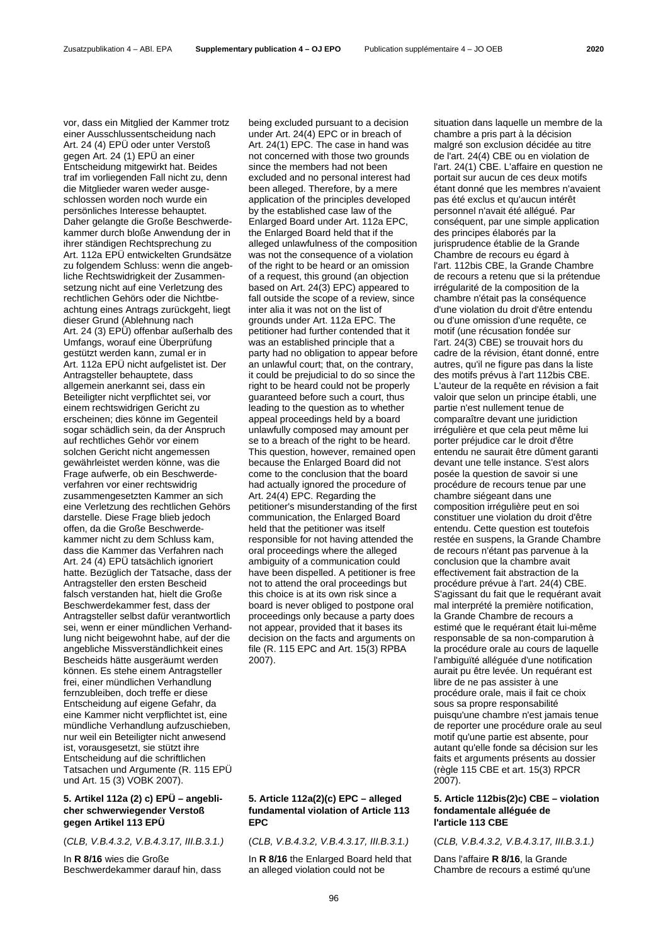vor, dass ein Mitglied der Kammer trotz einer Ausschlussentscheidung nach Art. 24 (4) EPÜ oder unter Verstoß gegen Art. 24 (1) EPÜ an einer Entscheidung mitgewirkt hat. Beides traf im vorliegenden Fall nicht zu, denn die Mitglieder waren weder ausgeschlossen worden noch wurde ein persönliches Interesse behauptet. Daher gelangte die Große Beschwerdekammer durch bloße Anwendung der in ihrer ständigen Rechtsprechung zu Art. 112a EPÜ entwickelten Grundsätze zu folgendem Schluss: wenn die angebliche Rechtswidrigkeit der Zusammensetzung nicht auf eine Verletzung des rechtlichen Gehörs oder die Nichtbeachtung eines Antrags zurückgeht, liegt dieser Grund (Ablehnung nach Art. 24 (3) EPÜ) offenbar außerhalb des Umfangs, worauf eine Überprüfung gestützt werden kann, zumal er in Art. 112a EPÜ nicht aufgelistet ist. Der Antragsteller behauptete, dass allgemein anerkannt sei, dass ein Beteiligter nicht verpflichtet sei, vor einem rechtswidrigen Gericht zu erscheinen; dies könne im Gegenteil sogar schädlich sein, da der Anspruch auf rechtliches Gehör vor einem solchen Gericht nicht angemessen gewährleistet werden könne, was die Frage aufwerfe, ob ein Beschwerdeverfahren vor einer rechtswidrig zusammengesetzten Kammer an sich eine Verletzung des rechtlichen Gehörs darstelle. Diese Frage blieb jedoch offen, da die Große Beschwerdekammer nicht zu dem Schluss kam, dass die Kammer das Verfahren nach Art. 24 (4) EPÜ tatsächlich ignoriert hatte. Bezüglich der Tatsache, dass der Antragsteller den ersten Bescheid falsch verstanden hat, hielt die Große Beschwerdekammer fest, dass der Antragsteller selbst dafür verantwortlich sei, wenn er einer mündlichen Verhandlung nicht beigewohnt habe, auf der die angebliche Missverständlichkeit eines Bescheids hätte ausgeräumt werden können. Es stehe einem Antragsteller frei, einer mündlichen Verhandlung fernzubleiben, doch treffe er diese Entscheidung auf eigene Gefahr, da eine Kammer nicht verpflichtet ist, eine mündliche Verhandlung aufzuschieben, nur weil ein Beteiligter nicht anwesend ist, vorausgesetzt, sie stützt ihre Entscheidung auf die schriftlichen Tatsachen und Argumente (R. 115 EPÜ und Art. 15 (3) VOBK 2007).

# **5. Artikel 112a (2) c) EPÜ – angeblicher schwerwiegender Verstoß gegen Artikel 113 EPÜ**

In **R 8/16** wies die Große Beschwerdekammer darauf hin, dass being excluded pursuant to a decision under Art. 24(4) EPC or in breach of Art. 24(1) EPC. The case in hand was not concerned with those two grounds since the members had not been excluded and no personal interest had been alleged. Therefore, by a mere application of the principles developed by the established case law of the Enlarged Board under Art. 112a EPC, the Enlarged Board held that if the alleged unlawfulness of the composition was not the consequence of a violation of the right to be heard or an omission of a request, this ground (an objection based on Art. 24(3) EPC) appeared to fall outside the scope of a review, since inter alia it was not on the list of grounds under Art. 112a EPC. The petitioner had further contended that it was an established principle that a party had no obligation to appear before an unlawful court; that, on the contrary, it could be prejudicial to do so since the right to be heard could not be properly guaranteed before such a court, thus leading to the question as to whether appeal proceedings held by a board unlawfully composed may amount per se to a breach of the right to be heard. This question, however, remained open because the Enlarged Board did not come to the conclusion that the board had actually ignored the procedure of Art. 24(4) EPC. Regarding the petitioner's misunderstanding of the first communication, the Enlarged Board held that the petitioner was itself responsible for not having attended the oral proceedings where the alleged ambiguity of a communication could have been dispelled. A petitioner is free not to attend the oral proceedings but this choice is at its own risk since a board is never obliged to postpone oral proceedings only because a party does not appear, provided that it bases its decision on the facts and arguments on file (R. 115 EPC and Art. 15(3) RPBA 2007).

# **5. Article 112a(2)(c) EPC – alleged fundamental violation of Article 113 EPC**

In **R 8/16** the Enlarged Board held that an alleged violation could not be

situation dans laquelle un membre de la chambre a pris part à la décision malgré son exclusion décidée au titre de l'art. 24(4) CBE ou en violation de l'art. 24(1) CBE. L'affaire en question ne portait sur aucun de ces deux motifs étant donné que les membres n'avaient pas été exclus et qu'aucun intérêt personnel n'avait été allégué. Par conséquent, par une simple application des principes élaborés par la jurisprudence établie de la Grande Chambre de recours eu égard à l'art. 112bis CBE, la Grande Chambre de recours a retenu que si la prétendue irrégularité de la composition de la chambre n'était pas la conséquence d'une violation du droit d'être entendu ou d'une omission d'une requête, ce motif (une récusation fondée sur l'art. 24(3) CBE) se trouvait hors du cadre de la révision, étant donné, entre autres, qu'il ne figure pas dans la liste des motifs prévus à l'art 112bis CBE. L'auteur de la requête en révision a fait valoir que selon un principe établi, une partie n'est nullement tenue de comparaître devant une juridiction irrégulière et que cela peut même lui porter préjudice car le droit d'être entendu ne saurait être dûment garanti devant une telle instance. S'est alors posée la question de savoir si une procédure de recours tenue par une chambre siégeant dans une composition irrégulière peut en soi constituer une violation du droit d'être entendu. Cette question est toutefois restée en suspens, la Grande Chambre de recours n'étant pas parvenue à la conclusion que la chambre avait effectivement fait abstraction de la procédure prévue à l'art. 24(4) CBE. S'agissant du fait que le requérant avait mal interprété la première notification, la Grande Chambre de recours a estimé que le requérant était lui-même responsable de sa non-comparution à la procédure orale au cours de laquelle l'ambiguïté alléguée d'une notification aurait pu être levée. Un requérant est libre de ne pas assister à une procédure orale, mais il fait ce choix sous sa propre responsabilité puisqu'une chambre n'est jamais tenue de reporter une procédure orale au seul motif qu'une partie est absente, pour autant qu'elle fonde sa décision sur les faits et arguments présents au dossier (règle 115 CBE et art. 15(3) RPCR 2007).

### **5. Article 112bis(2)c) CBE – violation fondamentale alléguée de l'article 113 CBE**

(*CLB, V.B.4.3.2, V.B.4.3.17, III.B.3.1.)* (*CLB, V.B.4.3.2, V.B.4.3.17, III.B.3.1.)* (*CLB, V.B.4.3.2, V.B.4.3.17, III.B.3.1.)* 

Dans l'affaire **R 8/16**, la Grande Chambre de recours a estimé qu'une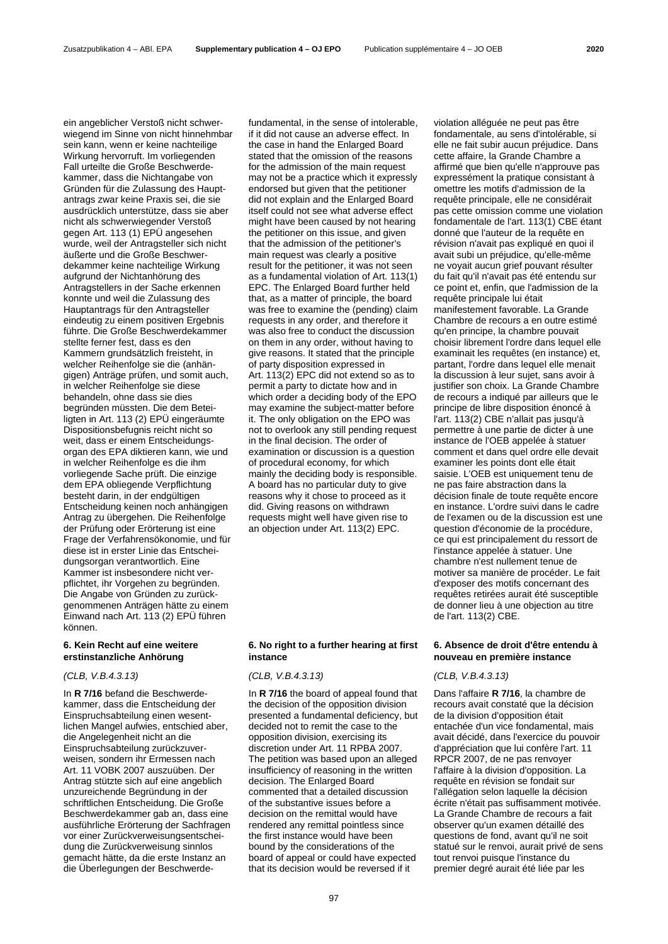ein angeblicher Verstoß nicht schwerwiegend im Sinne von nicht hinnehmbar sein kann, wenn er keine nachteilige Wirkung hervorruft. Im vorliegenden Fall urteilte die Große Beschwerdekammer, dass die Nichtangabe von Gründen für die Zulassung des Hauptantrags zwar keine Praxis sei, die sie ausdrücklich unterstütze, dass sie aber nicht als schwerwiegender Verstoß gegen Art. 113 (1) EPÜ angesehen wurde, weil der Antragsteller sich nicht äußerte und die Große Beschwerdekammer keine nachteilige Wirkung aufgrund der Nichtanhörung des Antragstellers in der Sache erkennen konnte und weil die Zulassung des Hauptantrags für den Antragsteller eindeutig zu einem positiven Ergebnis führte. Die Große Beschwerdekammer stellte ferner fest, dass es den Kammern grundsätzlich freisteht, in welcher Reihenfolge sie die (anhängigen) Anträge prüfen, und somit auch, in welcher Reihenfolge sie diese behandeln, ohne dass sie dies begründen müssten. Die dem Beteiligten in Art. 113 (2) EPÜ eingeräumte Dispositionsbefugnis reicht nicht so weit, dass er einem Entscheidungsorgan des EPA diktieren kann, wie und in welcher Reihenfolge es die ihm vorliegende Sache prüft. Die einzige dem EPA obliegende Verpflichtung besteht darin, in der endgültigen Entscheidung keinen noch anhängigen Antrag zu übergehen. Die Reihenfolge der Prüfung oder Erörterung ist eine Frage der Verfahrensökonomie, und für diese ist in erster Linie das Entscheidungsorgan verantwortlich. Eine Kammer ist insbesondere nicht verpflichtet, ihr Vorgehen zu begründen. Die Angabe von Gründen zu zurückgenommenen Anträgen hätte zu einem Einwand nach Art. 113 [\(2\) EPÜ](http://www.epo.org/law-practice/legal-texts/html/epc/2016/d/ar113.html#A113_2) führen können.

# **6. Kein Recht auf eine weitere erstinstanzliche Anhörung**

### *(CLB, V.B.4.3.13) (CLB, V.B.4.3.13) (CLB, V.B.4.3.13)*

In **R 7/16** befand die Beschwerdekammer, dass die Entscheidung der Einspruchsabteilung einen wesentlichen Mangel aufwies, entschied aber, die Angelegenheit nicht an die Einspruchsabteilung zurückzuverweisen, sondern ihr Ermessen nach Art. 11 VOBK 2007 auszuüben. Der Antrag stützte sich auf eine angeblich unzureichende Begründung in der schriftlichen Entscheidung. Die Große Beschwerdekammer gab an, dass eine ausführliche Erörterung der Sachfragen vor einer Zurückverweisungsentscheidung die Zurückverweisung sinnlos gemacht hätte, da die erste Instanz an die Überlegungen der Beschwerdefundamental, in the sense of intolerable, if it did not cause an adverse effect. In the case in hand the Enlarged Board stated that the omission of the reasons for the admission of the main request may not be a practice which it expressly endorsed but given that the petitioner did not explain and the Enlarged Board itself could not see what adverse effect might have been caused by not hearing the petitioner on this issue, and given that the admission of the petitioner's main request was clearly a positive result for the petitioner, it was not seen as a fundamental violation of Art. 113(1) EPC. The Enlarged Board further held that, as a matter of principle, the board was free to examine the (pending) claim requests in any order, and therefore it was also free to conduct the discussion on them in any order, without having to give reasons. It stated that the principle of party disposition expressed in Art. 113(2) EPC did not extend so as to permit a party to dictate how and in which order a deciding body of the EPO may examine the subject-matter before it. The only obligation on the EPO was not to overlook any still pending request in the final decision. The order of examination or discussion is a question of procedural economy, for which mainly the deciding body is responsible. A board has no particular duty to give reasons why it chose to proceed as it did. Giving reasons on withdrawn requests might well have given rise to an objection under Art. 113(2) EPC.

# **6. No right to a further hearing at first instance**

In **R 7/16** the board of appeal found that the decision of the opposition division presented a fundamental deficiency, but decided not to remit the case to the opposition division, exercising its discretion under Art. 11 RPBA 2007. The petition was based upon an alleged insufficiency of reasoning in the written decision. The Enlarged Board commented that a detailed discussion of the substantive issues before a decision on the remittal would have rendered any remittal pointless since the first instance would have been bound by the considerations of the board of appeal or could have expected that its decision would be reversed if it

violation alléguée ne peut pas être fondamentale, au sens d'intolérable, si elle ne fait subir aucun préjudice. Dans cette affaire, la Grande Chambre a affirmé que bien qu'elle n'approuve pas expressément la pratique consistant à omettre les motifs d'admission de la requête principale, elle ne considérait pas cette omission comme une violation fondamentale de l'art. 113(1) CBE étant donné que l'auteur de la requête en révision n'avait pas expliqué en quoi il avait subi un préjudice, qu'elle-même ne voyait aucun grief pouvant résulter du fait qu'il n'avait pas été entendu sur ce point et, enfin, que l'admission de la requête principale lui était manifestement favorable. La Grande Chambre de recours a en outre estimé qu'en principe, la chambre pouvait choisir librement l'ordre dans lequel elle examinait les requêtes (en instance) et, partant, l'ordre dans lequel elle menait la discussion à leur sujet, sans avoir à justifier son choix. La Grande Chambre de recours a indiqué par ailleurs que le principe de libre disposition énoncé à l'art. 113(2) CBE n'allait pas jusqu'à permettre à une partie de dicter à une instance de l'OEB appelée à statuer comment et dans quel ordre elle devait examiner les points dont elle était saisie. L'OEB est uniquement tenu de ne pas faire abstraction dans la décision finale de toute requête encore en instance. L'ordre suivi dans le cadre de l'examen ou de la discussion est une question d'économie de la procédure, ce qui est principalement du ressort de l'instance appelée à statuer. Une chambre n'est nullement tenue de motiver sa manière de procéder. Le fait d'exposer des motifs concernant des requêtes retirées aurait été susceptible de donner lieu à une objection au titre de l'art. 113(2) CBE.

### **6. Absence de droit d'être entendu à nouveau en première instance**

Dans l'affaire **R 7/16**, la chambre de recours avait constaté que la décision de la division d'opposition était entachée d'un vice fondamental, mais avait décidé, dans l'exercice du pouvoir d'appréciation que lui confère l'art. 11 RPCR 2007, de ne pas renvoyer l'affaire à la division d'opposition. La requête en révision se fondait sur l'allégation selon laquelle la décision écrite n'était pas suffisamment motivée. La Grande Chambre de recours a fait observer qu'un examen détaillé des questions de fond, avant qu'il ne soit statué sur le renvoi, aurait privé de sens tout renvoi puisque l'instance du premier degré aurait été liée par les